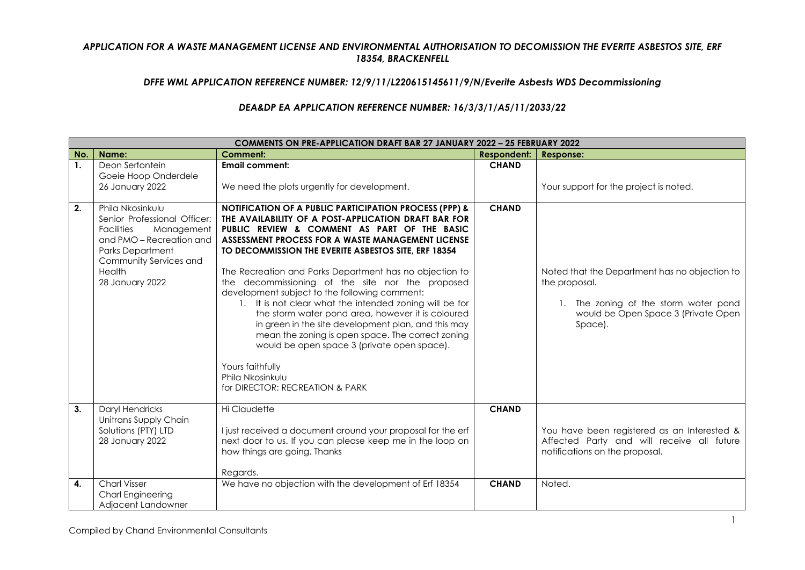## *APPLICATION FOR A WASTE MANAGEMENT LICENSE AND ENVIRONMENTAL AUTHORISATION TO DECOMISSION THE EVERITE ASBESTOS SITE, ERF 18354, BRACKENFELL*

## *DFFE WML APPLICATION REFERENCE NUMBER: 12/9/11/L220615145611/9/N/Everite Asbests WDS Decommissioning*

## *DEA&DP EA APPLICATION REFERENCE NUMBER: 16/3/3/1/A5/11/2033/22*

|     | <b>COMMENTS ON PRE-APPLICATION DRAFT BAR 27 JANUARY 2022 - 25 FEBRUARY 2022</b>                                                                                                                   |                                                                                                                                                                                                                                                                                                                                                                                                                                                                                                                                                                                                                                                                                                                                                                                                              |              |                                                                                                                                                           |  |  |
|-----|---------------------------------------------------------------------------------------------------------------------------------------------------------------------------------------------------|--------------------------------------------------------------------------------------------------------------------------------------------------------------------------------------------------------------------------------------------------------------------------------------------------------------------------------------------------------------------------------------------------------------------------------------------------------------------------------------------------------------------------------------------------------------------------------------------------------------------------------------------------------------------------------------------------------------------------------------------------------------------------------------------------------------|--------------|-----------------------------------------------------------------------------------------------------------------------------------------------------------|--|--|
| No. | Name:                                                                                                                                                                                             | <b>Comment:</b>                                                                                                                                                                                                                                                                                                                                                                                                                                                                                                                                                                                                                                                                                                                                                                                              | Respondent:  | <b>Response:</b>                                                                                                                                          |  |  |
| 1.  | Deon Serfontein<br>Goeie Hoop Onderdele<br>26 January 2022                                                                                                                                        | <b>Email comment:</b><br>We need the plots urgently for development.                                                                                                                                                                                                                                                                                                                                                                                                                                                                                                                                                                                                                                                                                                                                         | <b>CHAND</b> | Your support for the project is noted.                                                                                                                    |  |  |
| 2.  | Phila Nkosinkulu<br>Senior Professional Officer:<br>Management<br><b>Facilities</b><br>and PMO - Recreation and<br><b>Parks Department</b><br>Community Services and<br>Health<br>28 January 2022 | <b>NOTIFICATION OF A PUBLIC PARTICIPATION PROCESS (PPP) &amp;</b><br>THE AVAILABILITY OF A POST-APPLICATION DRAFT BAR FOR<br>PUBLIC REVIEW & COMMENT AS PART OF THE BASIC<br>ASSESSMENT PROCESS FOR A WASTE MANAGEMENT LICENSE<br>TO DECOMMISSION THE EVERITE ASBESTOS SITE, ERF 18354<br>The Recreation and Parks Department has no objection to<br>the decommissioning of the site nor the proposed<br>development subject to the following comment:<br>1. It is not clear what the intended zoning will be for<br>the storm water pond area, however it is coloured<br>in green in the site development plan, and this may<br>mean the zoning is open space. The correct zoning<br>would be open space 3 (private open space).<br>Yours faithfully<br>Phila Nkosinkulu<br>for DIRECTOR: RECREATION & PARK | <b>CHAND</b> | Noted that the Department has no objection to<br>the proposal.<br>1. The zoning of the storm water pond<br>would be Open Space 3 (Private Open<br>Space). |  |  |
| 3.  | <b>Daryl Hendricks</b><br>Unitrans Supply Chain<br>Solutions (PTY) LTD<br>28 January 2022                                                                                                         | Hi Claudette<br>I just received a document around your proposal for the erf<br>next door to us. If you can please keep me in the loop on<br>how things are going. Thanks<br>Regards.                                                                                                                                                                                                                                                                                                                                                                                                                                                                                                                                                                                                                         | <b>CHAND</b> | You have been registered as an Interested &<br>Affected Party and will receive all future<br>notifications on the proposal.                               |  |  |
| 4.  | <b>Charl Visser</b><br><b>Charl Engineering</b><br>Adiacent Landowner                                                                                                                             | We have no objection with the development of Erf 18354                                                                                                                                                                                                                                                                                                                                                                                                                                                                                                                                                                                                                                                                                                                                                       | <b>CHAND</b> | Noted.                                                                                                                                                    |  |  |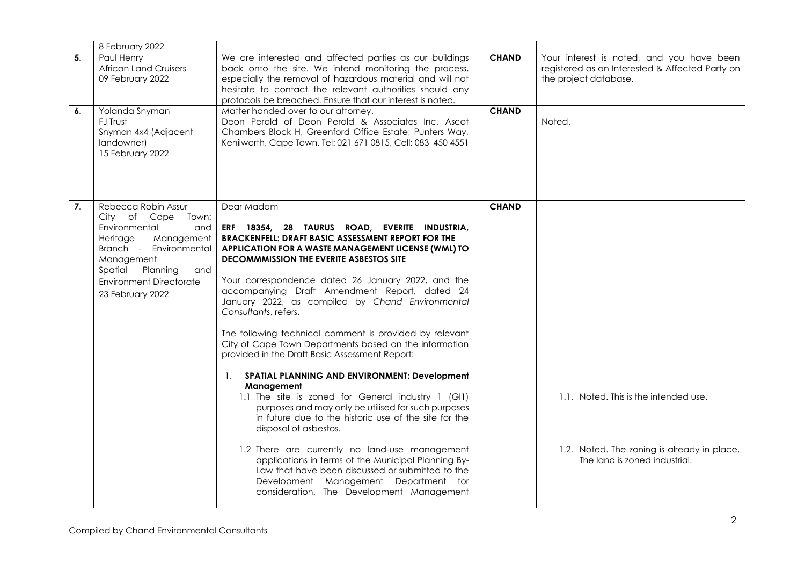|    | 8 February 2022                                  |                                                                                                                    |              |                                                                          |
|----|--------------------------------------------------|--------------------------------------------------------------------------------------------------------------------|--------------|--------------------------------------------------------------------------|
| 5. | Paul Henry                                       | We are interested and affected parties as our buildings                                                            | <b>CHAND</b> | Your interest is noted, and you have been                                |
|    | <b>African Land Cruisers</b><br>09 February 2022 | back onto the site. We intend monitoring the process,<br>especially the removal of hazardous material and will not |              | registered as an Interested & Affected Party on<br>the project database. |
|    |                                                  | hesitate to contact the relevant authorities should any                                                            |              |                                                                          |
|    |                                                  | protocols be breached. Ensure that our interest is noted.                                                          |              |                                                                          |
| 6. | Yolanda Snyman                                   | Matter handed over to our attorney.                                                                                | <b>CHAND</b> |                                                                          |
|    | FJ Trust<br>Snyman 4x4 (Adjacent                 | Deon Perold of Deon Perold & Associates Inc, Ascot<br>Chambers Block H, Greenford Office Estate, Punters Way,      |              | Noted.                                                                   |
|    | landowner)                                       | Kenilworth, Cape Town, Tel: 021 671 0815, Cell: 083 450 4551                                                       |              |                                                                          |
|    | 15 February 2022                                 |                                                                                                                    |              |                                                                          |
|    |                                                  |                                                                                                                    |              |                                                                          |
|    |                                                  |                                                                                                                    |              |                                                                          |
|    |                                                  |                                                                                                                    |              |                                                                          |
| 7. | Rebecca Robin Assur                              | Dear Madam                                                                                                         | <b>CHAND</b> |                                                                          |
|    | City of Cape<br>Town:<br>Environmental           |                                                                                                                    |              |                                                                          |
|    | and<br>Heritage<br>Management                    | ERF 18354, 28 TAURUS ROAD, EVERITE INDUSTRIA,<br><b>BRACKENFELL: DRAFT BASIC ASSESSMENT REPORT FOR THE</b>         |              |                                                                          |
|    | Branch - Environmental                           | APPLICATION FOR A WASTE MANAGEMENT LICENSE (WML) TO                                                                |              |                                                                          |
|    | Management                                       | <b>DECOMMMISSION THE EVERITE ASBESTOS SITE</b>                                                                     |              |                                                                          |
|    | Spatial<br>Planning<br>and                       | Your correspondence dated 26 January 2022, and the                                                                 |              |                                                                          |
|    | <b>Environment Directorate</b>                   | accompanying Draft Amendment Report, dated 24                                                                      |              |                                                                          |
|    | 23 February 2022                                 | January 2022, as compiled by Chand Environmental                                                                   |              |                                                                          |
|    |                                                  | Consultants, refers.                                                                                               |              |                                                                          |
|    |                                                  | The following technical comment is provided by relevant                                                            |              |                                                                          |
|    |                                                  | City of Cape Town Departments based on the information                                                             |              |                                                                          |
|    |                                                  | provided in the Draft Basic Assessment Report:                                                                     |              |                                                                          |
|    |                                                  | SPATIAL PLANNING AND ENVIRONMENT: Development<br>1.                                                                |              |                                                                          |
|    |                                                  | Management                                                                                                         |              |                                                                          |
|    |                                                  | 1.1 The site is zoned for General industry 1 (GI1)                                                                 |              | 1.1. Noted. This is the intended use.                                    |
|    |                                                  | purposes and may only be utilised for such purposes                                                                |              |                                                                          |
|    |                                                  | in future due to the historic use of the site for the<br>disposal of asbestos.                                     |              |                                                                          |
|    |                                                  |                                                                                                                    |              |                                                                          |
|    |                                                  | 1.2 There are currently no land-use management                                                                     |              | 1.2. Noted. The zoning is already in place.                              |
|    |                                                  | applications in terms of the Municipal Planning By-<br>Law that have been discussed or submitted to the            |              | The land is zoned industrial.                                            |
|    |                                                  | Development Management Department for                                                                              |              |                                                                          |
|    |                                                  | consideration. The Development Management                                                                          |              |                                                                          |
|    |                                                  |                                                                                                                    |              |                                                                          |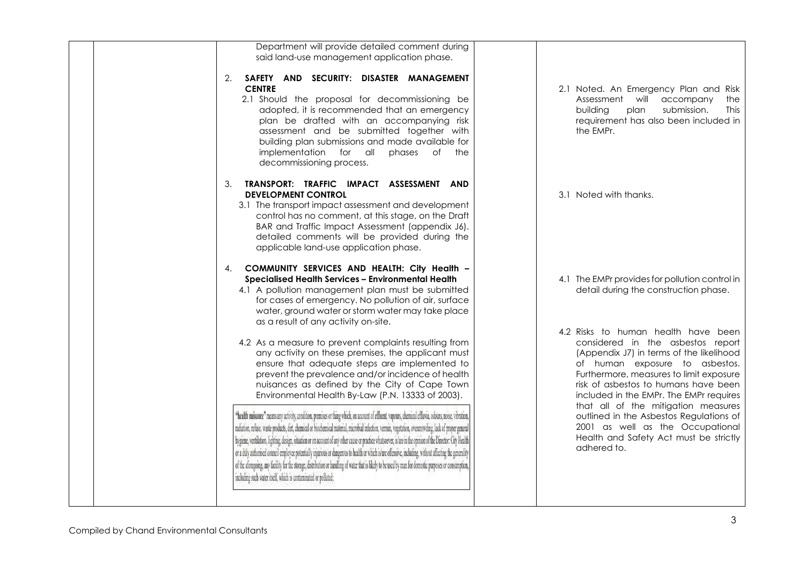| Department will provide detailed comment during<br>said land-use management application phase.                                                                                                                                                                                                                                                                                                                                                                                                                                                                                                                                                                                                                                                                                                                                                                                   |                                                                                                                                                                                                                                                                                      |
|----------------------------------------------------------------------------------------------------------------------------------------------------------------------------------------------------------------------------------------------------------------------------------------------------------------------------------------------------------------------------------------------------------------------------------------------------------------------------------------------------------------------------------------------------------------------------------------------------------------------------------------------------------------------------------------------------------------------------------------------------------------------------------------------------------------------------------------------------------------------------------|--------------------------------------------------------------------------------------------------------------------------------------------------------------------------------------------------------------------------------------------------------------------------------------|
| SAFETY AND SECURITY: DISASTER MANAGEMENT<br>2.<br><b>CENTRE</b><br>2.1 Should the proposal for decommissioning be<br>adopted, it is recommended that an emergency<br>plan be drafted with an accompanying risk<br>assessment and be submitted together with<br>building plan submissions and made available for<br>implementation for all<br>phases<br>of the<br>decommissioning process.                                                                                                                                                                                                                                                                                                                                                                                                                                                                                        | 2.1 Noted. An Emergency Plan and Risk<br>Assessment will<br>accompany<br>the<br>submission.<br><b>This</b><br><b>building</b><br>plan<br>requirement has also been included in<br>the EMPr.                                                                                          |
| TRANSPORT: TRAFFIC IMPACT ASSESSMENT AND<br>3.<br><b>DEVELOPMENT CONTROL</b><br>3.1 The transport impact assessment and development<br>control has no comment, at this stage, on the Draft<br>BAR and Traffic Impact Assessment (appendix J6).<br>detailed comments will be provided during the<br>applicable land-use application phase.                                                                                                                                                                                                                                                                                                                                                                                                                                                                                                                                        | 3.1 Noted with thanks.                                                                                                                                                                                                                                                               |
| COMMUNITY SERVICES AND HEALTH: City Health -<br>4.<br><b>Specialised Health Services - Environmental Health</b><br>4.1 A pollution management plan must be submitted<br>for cases of emergency. No pollution of air, surface<br>water, ground water or storm water may take place<br>as a result of any activity on-site.                                                                                                                                                                                                                                                                                                                                                                                                                                                                                                                                                        | 4.1 The EMPr provides for pollution control in<br>detail during the construction phase.                                                                                                                                                                                              |
| 4.2 As a measure to prevent complaints resulting from<br>any activity on these premises, the applicant must<br>ensure that adequate steps are implemented to<br>prevent the prevalence and/or incidence of health<br>nuisances as defined by the City of Cape Town<br>Environmental Health By-Law (P.N. 13333 of 2003).                                                                                                                                                                                                                                                                                                                                                                                                                                                                                                                                                          | 4.2 Risks to human health have been<br>considered in the asbestos report<br>(Appendix J7) in terms of the likelihood<br>of human exposure to asbestos.<br>Furthermore, measures to limit exposure<br>risk of asbestos to humans have been<br>included in the EMPr. The EMPr requires |
| "health nuisance" means any activity, condition, premises or thing which, on account of effluent, vapours, chemical effluvia, odours, noise, vibration,<br>radiation, refuse, waste products, dirt, chemical or biochemical material, microbial infection, vermin, vegetation, overcrowding, lack of proper general<br>hygiene, ventilation, lighting, design, situation or on account of any other cause or practice whatsoever, is are in the opinion of the Director: City Health<br>or a duly authorised council employee potentially injurious or dangerous to health or which is are offensive, including, without affecting the generality<br>of the aforegoing, any facility for the storage, distribution or handling of water that is likely to be used by man for domestic purposes or consumption,<br>including such water itself, which is contaminated or polluted | that all of the mitigation measures<br>outlined in the Asbestos Regulations of<br>2001 as well as the Occupational<br>Health and Safety Act must be strictly<br>adhered to.                                                                                                          |
|                                                                                                                                                                                                                                                                                                                                                                                                                                                                                                                                                                                                                                                                                                                                                                                                                                                                                  |                                                                                                                                                                                                                                                                                      |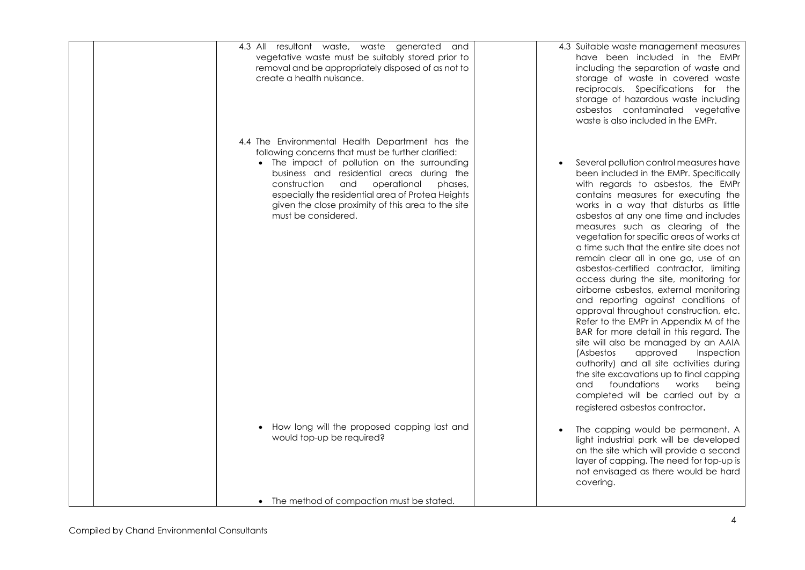| 4.3 All resultant waste, waste generated and<br>vegetative waste must be suitably stored prior to<br>removal and be appropriately disposed of as not to<br>create a health nuisance.                                                                                                                                                                                                  | 4.3 Suitable waste management measures<br>have been included in the EMPr<br>including the separation of waste and<br>storage of waste in covered waste<br>reciprocals. Specifications for the<br>storage of hazardous waste including<br>asbestos contaminated vegetative<br>waste is also included in the EMPr.                                                                                                                                                                                                                                                                                                                                                                                                                                                                                                                                                                                                                                                                                                               |
|---------------------------------------------------------------------------------------------------------------------------------------------------------------------------------------------------------------------------------------------------------------------------------------------------------------------------------------------------------------------------------------|--------------------------------------------------------------------------------------------------------------------------------------------------------------------------------------------------------------------------------------------------------------------------------------------------------------------------------------------------------------------------------------------------------------------------------------------------------------------------------------------------------------------------------------------------------------------------------------------------------------------------------------------------------------------------------------------------------------------------------------------------------------------------------------------------------------------------------------------------------------------------------------------------------------------------------------------------------------------------------------------------------------------------------|
| 4.4 The Environmental Health Department has the<br>following concerns that must be further clarified:<br>• The impact of pollution on the surrounding<br>business and residential areas during the<br>construction<br>and<br>operational<br>phases,<br>especially the residential area of Protea Heights<br>given the close proximity of this area to the site<br>must be considered. | Several pollution control measures have<br>been included in the EMPr. Specifically<br>with regards to asbestos, the EMPr<br>contains measures for executing the<br>works in a way that disturbs as little<br>asbestos at any one time and includes<br>measures such as clearing of the<br>vegetation for specific areas of works at<br>a time such that the entire site does not<br>remain clear all in one go, use of an<br>asbestos-certified contractor, limiting<br>access during the site, monitoring for<br>airborne asbestos, external monitoring<br>and reporting against conditions of<br>approval throughout construction, etc.<br>Refer to the EMPr in Appendix M of the<br>BAR for more detail in this regard. The<br>site will also be managed by an AAIA<br>approved<br>Inspection<br><i>(Asbestos</i><br>authority) and all site activities during<br>the site excavations up to final capping<br>foundations<br>works<br>and<br>being<br>completed will be carried out by a<br>registered asbestos contractor. |
| • How long will the proposed capping last and<br>would top-up be required?                                                                                                                                                                                                                                                                                                            | The capping would be permanent. A<br>light industrial park will be developed<br>on the site which will provide a second<br>layer of capping. The need for top-up is<br>not envisaged as there would be hard<br>covering.                                                                                                                                                                                                                                                                                                                                                                                                                                                                                                                                                                                                                                                                                                                                                                                                       |
| • The method of compaction must be stated.                                                                                                                                                                                                                                                                                                                                            |                                                                                                                                                                                                                                                                                                                                                                                                                                                                                                                                                                                                                                                                                                                                                                                                                                                                                                                                                                                                                                |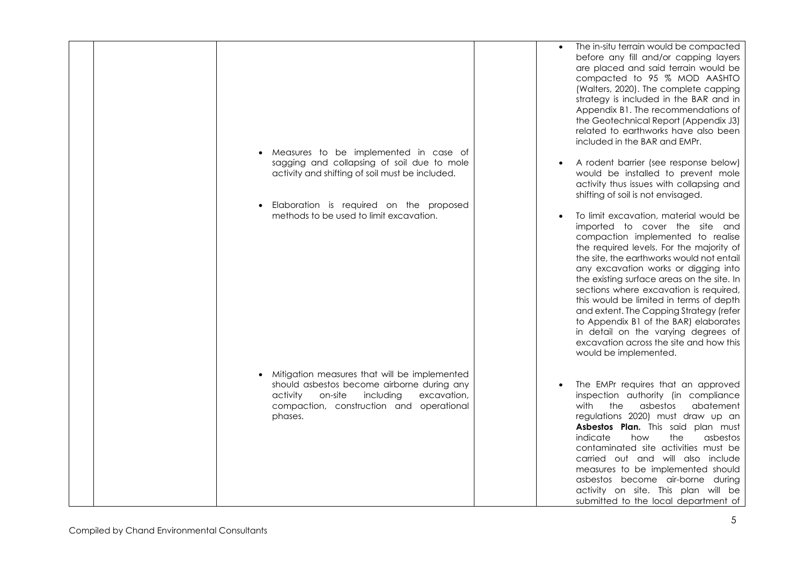|  | Measures to be implemented in case of                                                                                                                                                                | The in-situ terrain would be compacted<br>before any fill and/or capping layers<br>are placed and said terrain would be<br>compacted to 95 % MOD AASHTO<br>(Walters, 2020). The complete capping<br>strategy is included in the BAR and in<br>Appendix B1. The recommendations of<br>the Geotechnical Report (Appendix J3)<br>related to earthworks have also been<br>included in the BAR and EMPr.                                                                                                                                                                              |
|--|------------------------------------------------------------------------------------------------------------------------------------------------------------------------------------------------------|----------------------------------------------------------------------------------------------------------------------------------------------------------------------------------------------------------------------------------------------------------------------------------------------------------------------------------------------------------------------------------------------------------------------------------------------------------------------------------------------------------------------------------------------------------------------------------|
|  | sagging and collapsing of soil due to mole<br>activity and shifting of soil must be included.                                                                                                        | A rodent barrier (see response below)<br>would be installed to prevent mole<br>activity thus issues with collapsing and<br>shifting of soil is not envisaged.                                                                                                                                                                                                                                                                                                                                                                                                                    |
|  | • Elaboration is required on the proposed<br>methods to be used to limit excavation.                                                                                                                 | To limit excavation, material would be<br>imported to cover the site and<br>compaction implemented to realise<br>the required levels. For the majority of<br>the site, the earthworks would not entail<br>any excavation works or digging into<br>the existing surface areas on the site. In<br>sections where excavation is required,<br>this would be limited in terms of depth<br>and extent. The Capping Strategy (refer<br>to Appendix B1 of the BAR) elaborates<br>in detail on the varying degrees of<br>excavation across the site and how this<br>would be implemented. |
|  | Mitigation measures that will be implemented<br>should asbestos become airborne during any<br>activity<br>on-site<br>including<br>excavation,<br>compaction, construction and operational<br>phases. | The EMPr requires that an approved<br>inspection authority (in compliance<br>with<br>the<br>asbestos<br>abatement<br>regulations 2020) must draw up an<br>Asbestos Plan. This said plan must<br>indicate<br>the<br>asbestos<br>how<br>contaminated site activities must be<br>carried out and will also include<br>measures to be implemented should<br>asbestos become air-borne during<br>activity on site. This plan will be<br>submitted to the local department of                                                                                                          |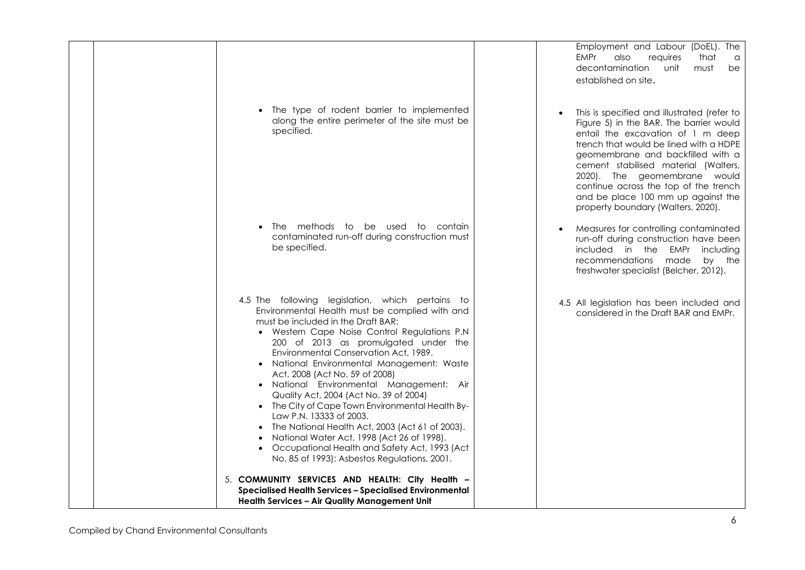|                                                                                                                                                                                                                                                                                                                                                                                                                                                                                                                                                                                                                                                                                                                                      | Employment and Labour (DoEL). The<br>EMPr<br>also<br>requires<br>that<br>a<br>decontamination<br>unit<br>must<br>be                                                                                                                                                                                                                                                                                                             |
|--------------------------------------------------------------------------------------------------------------------------------------------------------------------------------------------------------------------------------------------------------------------------------------------------------------------------------------------------------------------------------------------------------------------------------------------------------------------------------------------------------------------------------------------------------------------------------------------------------------------------------------------------------------------------------------------------------------------------------------|---------------------------------------------------------------------------------------------------------------------------------------------------------------------------------------------------------------------------------------------------------------------------------------------------------------------------------------------------------------------------------------------------------------------------------|
| The type of rodent barrier to implemented<br>along the entire perimeter of the site must be<br>specified.                                                                                                                                                                                                                                                                                                                                                                                                                                                                                                                                                                                                                            | established on site.<br>This is specified and illustrated (refer to<br>Figure 5) in the BAR. The barrier would<br>entail the excavation of 1 m deep<br>trench that would be lined with a HDPE<br>geomembrane and backfilled with a<br>cement stabilised material (Walters,<br>2020). The geomembrane would<br>continue across the top of the trench<br>and be place 100 mm up against the<br>property boundary (Walters, 2020). |
| The methods to be used to contain<br>contaminated run-off during construction must<br>be specified.                                                                                                                                                                                                                                                                                                                                                                                                                                                                                                                                                                                                                                  | Measures for controlling contaminated<br>run-off during construction have been<br>included in the EMPr including<br>recommendations made<br>by the<br>freshwater specialist (Belcher, 2012).                                                                                                                                                                                                                                    |
| 4.5 The following legislation, which pertains to<br>Environmental Health must be complied with and<br>must be included in the Draft BAR:<br>• Western Cape Noise Control Regulations P.N<br>200 of 2013 as promulgated under the<br>Environmental Conservation Act, 1989.<br>• National Environmental Management: Waste<br>Act, 2008 (Act No. 59 of 2008)<br>· National Environmental Management: Air<br>Quality Act, 2004 (Act No. 39 of 2004)<br>• The City of Cape Town Environmental Health By-<br>Law P.N. 13333 of 2003.<br>• The National Health Act, 2003 (Act 61 of 2003).<br>National Water Act, 1998 (Act 26 of 1998).<br>• Occupational Health and Safety Act, 1993 (Act<br>No. 85 of 1993): Asbestos Regulations, 2001. | 4.5 All legislation has been included and<br>considered in the Draft BAR and EMPr.                                                                                                                                                                                                                                                                                                                                              |
| 5. COMMUNITY SERVICES AND HEALTH: City Health -<br>Specialised Health Services - Specialised Environmental<br><b>Health Services - Air Quality Management Unit</b>                                                                                                                                                                                                                                                                                                                                                                                                                                                                                                                                                                   |                                                                                                                                                                                                                                                                                                                                                                                                                                 |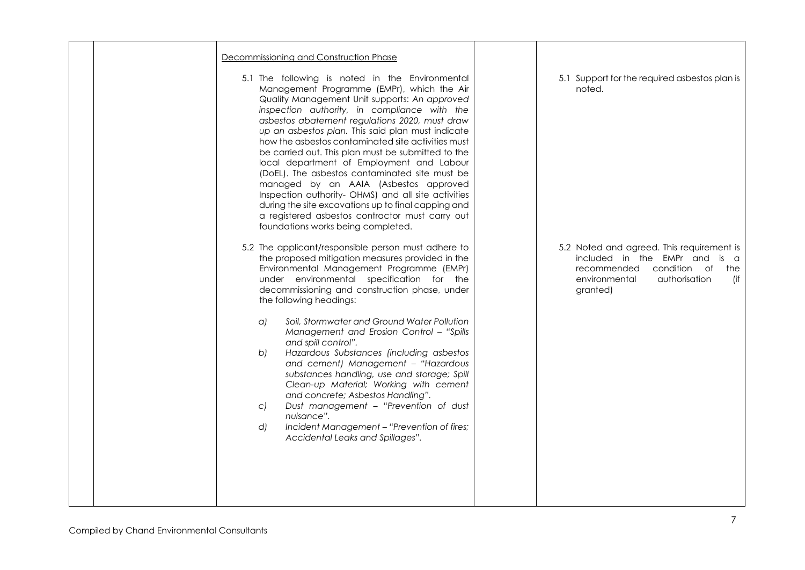|  | Decommissioning and Construction Phase                                                                                                                                                                                                                                                                                                                                                                                                                                                                                                                                                                                                                                                                                                                           |                                                                                                                                                                    |
|--|------------------------------------------------------------------------------------------------------------------------------------------------------------------------------------------------------------------------------------------------------------------------------------------------------------------------------------------------------------------------------------------------------------------------------------------------------------------------------------------------------------------------------------------------------------------------------------------------------------------------------------------------------------------------------------------------------------------------------------------------------------------|--------------------------------------------------------------------------------------------------------------------------------------------------------------------|
|  | 5.1 The following is noted in the Environmental<br>Management Programme (EMPr), which the Air<br>Quality Management Unit supports: An approved<br>inspection authority, in compliance with the<br>asbestos abatement regulations 2020, must draw<br>up an asbestos plan. This said plan must indicate<br>how the asbestos contaminated site activities must<br>be carried out. This plan must be submitted to the<br>local department of Employment and Labour<br>(DoEL). The asbestos contaminated site must be<br>managed by an AAIA (Asbestos approved<br>Inspection authority- OHMS) and all site activities<br>during the site excavations up to final capping and<br>a registered asbestos contractor must carry out<br>foundations works being completed. | 5.1 Support for the required asbestos plan is<br>noted.                                                                                                            |
|  | 5.2 The applicant/responsible person must adhere to<br>the proposed mitigation measures provided in the<br>Environmental Management Programme (EMPr)<br>under environmental specification for the<br>decommissioning and construction phase, under<br>the following headings:                                                                                                                                                                                                                                                                                                                                                                                                                                                                                    | 5.2 Noted and agreed. This requirement is<br>included in the EMPr and is a<br>recommended condition of<br>the<br>authorisation<br>environmental<br>(if<br>granted) |
|  | Soil, Stormwater and Ground Water Pollution<br>a)<br>Management and Erosion Control - "Spills<br>and spill control".<br>Hazardous Substances (including asbestos<br>b)<br>and cement) Management - "Hazardous<br>substances handling, use and storage; Spill<br>Clean-up Material; Working with cement<br>and concrete; Asbestos Handling".<br>Dust management - "Prevention of dust<br>C<br>nuisance".<br>Incident Management - "Prevention of fires;<br>d)<br>Accidental Leaks and Spillages".                                                                                                                                                                                                                                                                 |                                                                                                                                                                    |
|  |                                                                                                                                                                                                                                                                                                                                                                                                                                                                                                                                                                                                                                                                                                                                                                  |                                                                                                                                                                    |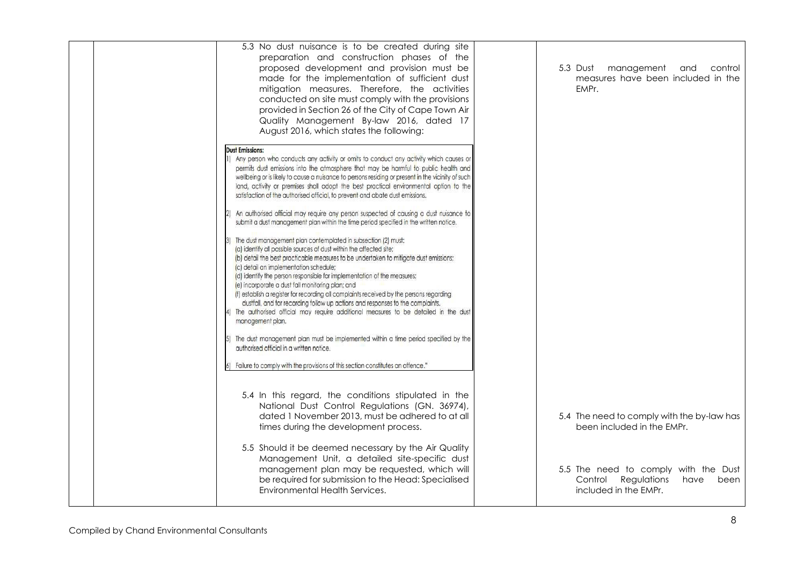|  | 5.3 No dust nuisance is to be created during site<br>preparation and construction phases of the<br>proposed development and provision must be<br>made for the implementation of sufficient dust<br>mitigation measures. Therefore, the activities<br>conducted on site must comply with the provisions<br>provided in Section 26 of the City of Cape Town Air<br>Quality Management By-law 2016, dated 17<br>August 2016, which states the following:                                                                                                                                                                                                                                                                                                                                        | management<br>5.3 Dust<br>and<br>control<br>measures have been included in the<br>EMPr.              |
|--|----------------------------------------------------------------------------------------------------------------------------------------------------------------------------------------------------------------------------------------------------------------------------------------------------------------------------------------------------------------------------------------------------------------------------------------------------------------------------------------------------------------------------------------------------------------------------------------------------------------------------------------------------------------------------------------------------------------------------------------------------------------------------------------------|------------------------------------------------------------------------------------------------------|
|  | <b>Dust Emissions:</b><br>1) Any person who conducts any activity or omits to conduct any activity which causes or<br>permits dust emissions into the atmosphere that may be harmful to public health and<br>wellbeing or is likely to cause a nuisance to persons residing or present in the vicinity of such<br>land, activity or premises shall adopt the best practical environmental option to the<br>satisfaction of the authorised official, to prevent and abate dust emissions.<br>2) An authorised official may require any person suspected of causing a dust nuisance to                                                                                                                                                                                                         |                                                                                                      |
|  | submit a dust management plan within the time period specified in the written notice.<br>3) The dust management plan contemplated in subsection (2) must:<br>(a) identify all possible sources of dust within the affected site;<br>(b) detail the best practicable measures to be undertaken to mitigate dust emissions;<br>(c) detail an implementation schedule;<br>(d) identify the person responsible for implementation of the measures;<br>(e) incorporate a dust fall monitoring plan; and<br>(f) establish a register for recording all complaints received by the persons regarding<br>dustfall, and for recording follow up actions and responses to the complaints.<br>4) The authorised official may require additional measures to be detailed in the dust<br>management plan. |                                                                                                      |
|  | 5) The dust management plan must be implemented within a time period specified by the<br>authorised official in a written notice.<br>6) Failure to comply with the provisions of this section constitutes an offence."                                                                                                                                                                                                                                                                                                                                                                                                                                                                                                                                                                       |                                                                                                      |
|  | 5.4 In this regard, the conditions stipulated in the<br>National Dust Control Regulations (GN. 36974),<br>dated 1 November 2013, must be adhered to at all<br>times during the development process.                                                                                                                                                                                                                                                                                                                                                                                                                                                                                                                                                                                          | 5.4 The need to comply with the by-law has<br>been included in the EMPr.                             |
|  | 5.5 Should it be deemed necessary by the Air Quality<br>Management Unit, a detailed site-specific dust<br>management plan may be requested, which will<br>be required for submission to the Head: Specialised<br>Environmental Health Services.                                                                                                                                                                                                                                                                                                                                                                                                                                                                                                                                              | 5.5 The need to comply with the Dust<br>Control Regulations<br>have<br>been<br>included in the EMPr. |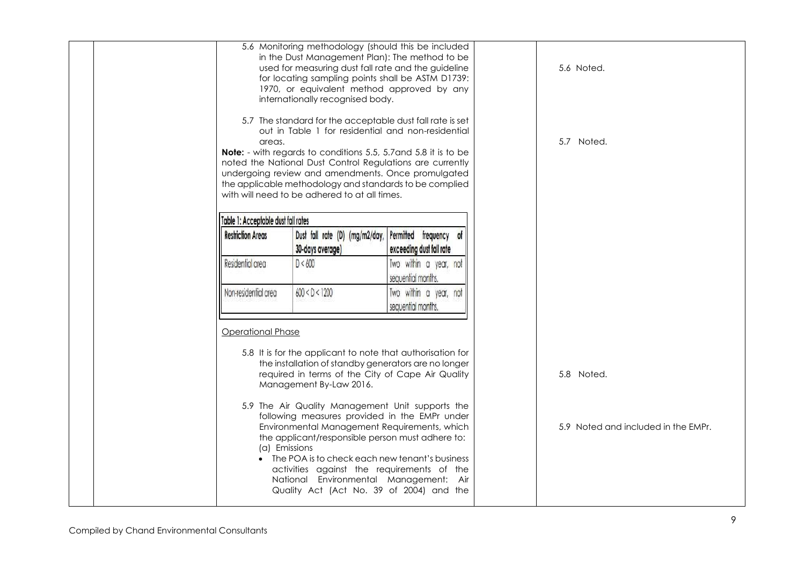|                                     | 5.6 Monitoring methodology (should this be included<br>in the Dust Management Plan): The method to be<br>used for measuring dust fall rate and the guideline<br>for locating sampling points shall be ASTM D1739:<br>1970, or equivalent method approved by any<br>internationally recognised body.                                                                                                                         |                                                    |  |  | 5.6 Noted.                          |
|-------------------------------------|-----------------------------------------------------------------------------------------------------------------------------------------------------------------------------------------------------------------------------------------------------------------------------------------------------------------------------------------------------------------------------------------------------------------------------|----------------------------------------------------|--|--|-------------------------------------|
|                                     | 5.7 The standard for the acceptable dust fall rate is set<br>out in Table 1 for residential and non-residential<br>areas.<br>Note: - with regards to conditions 5.5, 5.7 and 5.8 it is to be<br>noted the National Dust Control Regulations are currently<br>undergoing review and amendments. Once promulgated<br>the applicable methodology and standards to be complied<br>with will need to be adhered to at all times. |                                                    |  |  | 5.7 Noted.                          |
| Table 1: Acceptable dust fall rates |                                                                                                                                                                                                                                                                                                                                                                                                                             |                                                    |  |  |                                     |
| <b>Restriction Areas</b>            | Dust fall rate (D) (mg/m2/day,<br>30-days average)                                                                                                                                                                                                                                                                                                                                                                          | Permitted frequency of<br>exceeding dust fall rate |  |  |                                     |
| Residential area                    | D < 600                                                                                                                                                                                                                                                                                                                                                                                                                     | Two within a year, not<br>sequential months.       |  |  |                                     |
| Non-residential area                | 600 < D < 1200                                                                                                                                                                                                                                                                                                                                                                                                              | Two within a year, not<br>sequential months.       |  |  |                                     |
| <b>Operational Phase</b>            | 5.8 It is for the applicant to note that authorisation for<br>the installation of standby generators are no longer<br>required in terms of the City of Cape Air Quality<br>Management By-Law 2016.                                                                                                                                                                                                                          |                                                    |  |  | 5.8 Noted.                          |
|                                     | 5.9 The Air Quality Management Unit supports the<br>following measures provided in the EMPr under<br>Environmental Management Requirements, which<br>the applicant/responsible person must adhere to:<br>(a) Emissions<br>The POA is to check each new tenant's business<br>activities against the requirements of the                                                                                                      |                                                    |  |  | 5.9 Noted and included in the EMPr. |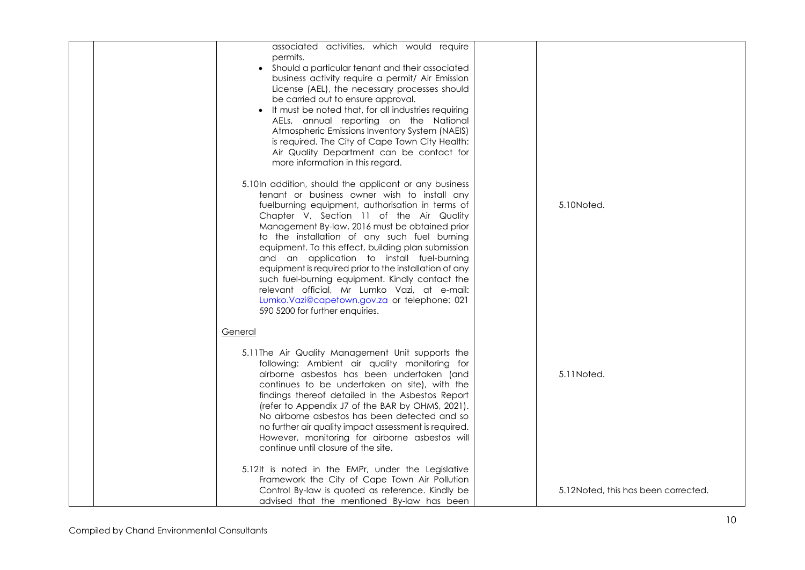| associated activities, which would require<br>permits.<br>Should a particular tenant and their associated<br>business activity require a permit/ Air Emission<br>License (AEL), the necessary processes should<br>be carried out to ensure approval.<br>• It must be noted that, for all industries requiring<br>AELs, annual reporting on the National<br>Atmospheric Emissions Inventory System (NAEIS)<br>is required. The City of Cape Town City Health:<br>Air Quality Department can be contact for<br>more information in this regard.                                                                                                                |                                     |
|--------------------------------------------------------------------------------------------------------------------------------------------------------------------------------------------------------------------------------------------------------------------------------------------------------------------------------------------------------------------------------------------------------------------------------------------------------------------------------------------------------------------------------------------------------------------------------------------------------------------------------------------------------------|-------------------------------------|
| 5.10In addition, should the applicant or any business<br>tenant or business owner wish to install any<br>fuelburning equipment, authorisation in terms of<br>Chapter V, Section 11 of the Air Quality<br>Management By-law, 2016 must be obtained prior<br>to the installation of any such fuel burning<br>equipment. To this effect, building plan submission<br>and an application to install fuel-burning<br>equipment is required prior to the installation of any<br>such fuel-burning equipment. Kindly contact the<br>relevant official, Mr Lumko Vazi, at e-mail:<br>Lumko.Vazi@capetown.gov.za or telephone: 021<br>590 5200 for further enquiries. | 5.10Noted.                          |
| General                                                                                                                                                                                                                                                                                                                                                                                                                                                                                                                                                                                                                                                      |                                     |
| 5.11The Air Quality Management Unit supports the<br>following: Ambient air quality monitoring for<br>airborne asbestos has been undertaken (and<br>continues to be undertaken on site), with the<br>findings thereof detailed in the Asbestos Report<br>(refer to Appendix J7 of the BAR by OHMS, 2021).<br>No airborne asbestos has been detected and so<br>no further air quality impact assessment is required.<br>However, monitoring for airborne asbestos will<br>continue until closure of the site.                                                                                                                                                  | 5.11 Noted.                         |
| 5.12It is noted in the EMPr, under the Legislative<br>Framework the City of Cape Town Air Pollution<br>Control By-law is quoted as reference. Kindly be<br>advised that the mentioned By-law has been                                                                                                                                                                                                                                                                                                                                                                                                                                                        | 5.12Noted, this has been corrected. |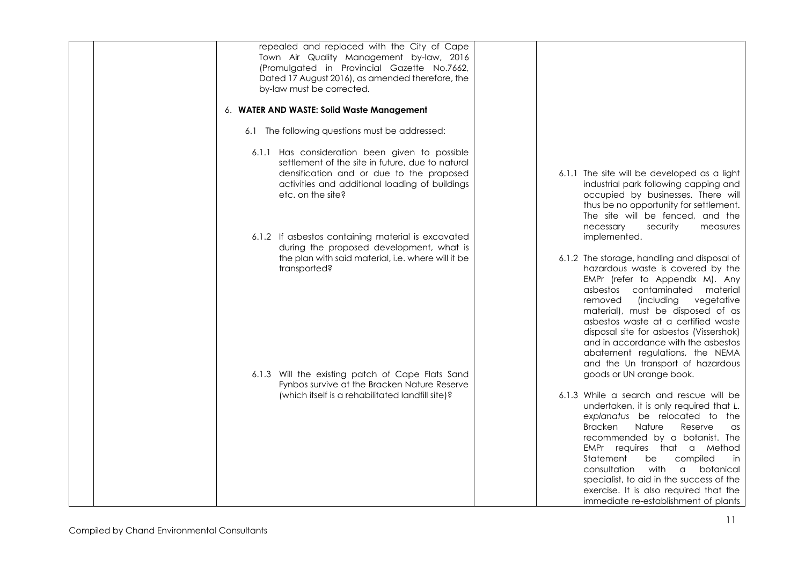| repealed and replaced with the City of Cape<br>Town Air Quality Management by-law, 2016<br>(Promulgated in Provincial Gazette No.7662,<br>Dated 17 August 2016), as amended therefore, the<br>by-law must be corrected. |                                                                                                                                                                                                                                                                                                                                                                                                                                                                    |
|-------------------------------------------------------------------------------------------------------------------------------------------------------------------------------------------------------------------------|--------------------------------------------------------------------------------------------------------------------------------------------------------------------------------------------------------------------------------------------------------------------------------------------------------------------------------------------------------------------------------------------------------------------------------------------------------------------|
|                                                                                                                                                                                                                         |                                                                                                                                                                                                                                                                                                                                                                                                                                                                    |
| 6. WATER AND WASTE: Solid Waste Management                                                                                                                                                                              |                                                                                                                                                                                                                                                                                                                                                                                                                                                                    |
| 6.1 The following questions must be addressed:                                                                                                                                                                          |                                                                                                                                                                                                                                                                                                                                                                                                                                                                    |
| 6.1.1 Has consideration been given to possible<br>settlement of the site in future, due to natural<br>densification and or due to the proposed<br>activities and additional loading of buildings<br>etc. on the site?   | 6.1.1 The site will be developed as a light<br>industrial park following capping and<br>occupied by businesses. There will<br>thus be no opportunity for settlement.<br>The site will be fenced, and the                                                                                                                                                                                                                                                           |
| 6.1.2 If asbestos containing material is excavated<br>during the proposed development, what is<br>the plan with said material, i.e. where will it be<br>transported?                                                    | necessary<br>security<br>measures<br>implemented.<br>6.1.2 The storage, handling and disposal of<br>hazardous waste is covered by the<br>EMPr (refer to Appendix M). Any<br>contaminated material<br>asbestos<br>(including<br>vegetative<br>removed                                                                                                                                                                                                               |
| 6.1.3 Will the existing patch of Cape Flats Sand                                                                                                                                                                        | material), must be disposed of as<br>asbestos waste at a certified waste<br>disposal site for asbestos (Vissershok)<br>and in accordance with the asbestos<br>abatement regulations, the NEMA<br>and the Un transport of hazardous<br>goods or UN orange book.                                                                                                                                                                                                     |
| Fynbos survive at the Bracken Nature Reserve<br>(which itself is a rehabilitated landfill site)?                                                                                                                        | 6.1.3 While a search and rescue will be<br>undertaken, it is only required that L.<br>explanatus be relocated to the<br><b>Bracken</b><br>Nature<br>Reserve<br>$\alpha$ s<br>recommended by a botanist. The<br>EMPr requires that<br>a Method<br>Statement<br>be<br>compiled<br>-in<br>consultation<br>with<br>$\alpha$<br>botanical<br>specialist, to aid in the success of the<br>exercise. It is also required that the<br>immediate re-establishment of plants |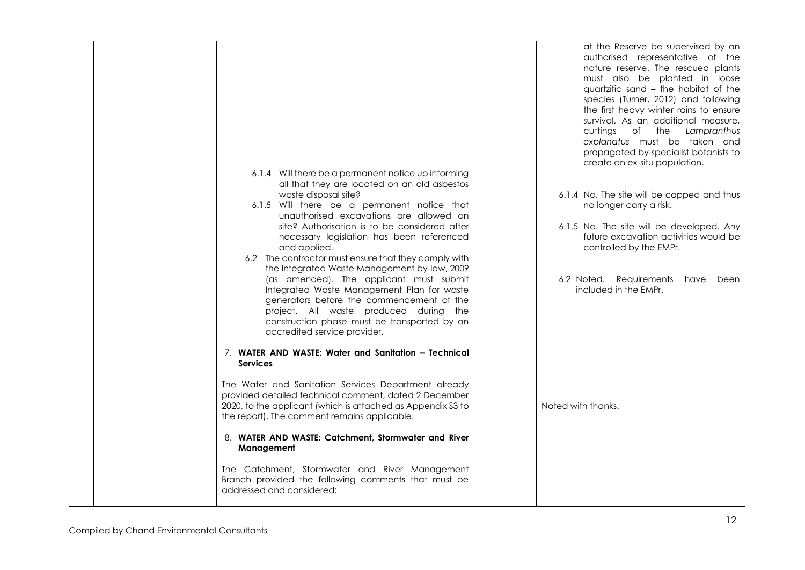|  |                                                                                                                                                                                                                                                              | at the Reserve be supervised by an<br>authorised representative of the<br>nature reserve. The rescued plants<br>must also be planted in loose<br>quartzitic sand - the habitat of the<br>species (Turner, 2012) and following<br>the first heavy winter rains to ensure<br>survival. As an additional measure,<br>cuttings of the Lampranthus<br>explanatus must be taken and<br>propagated by specialist botanists to<br>create an ex-situ population. |
|--|--------------------------------------------------------------------------------------------------------------------------------------------------------------------------------------------------------------------------------------------------------------|---------------------------------------------------------------------------------------------------------------------------------------------------------------------------------------------------------------------------------------------------------------------------------------------------------------------------------------------------------------------------------------------------------------------------------------------------------|
|  | 6.1.4 Will there be a permanent notice up informing<br>all that they are located on an old asbestos<br>waste disposal site?<br>6.1.5 Will there be a permanent notice that<br>unauthorised excavations are allowed on                                        | 6.1.4 No. The site will be capped and thus<br>no longer carry a risk.                                                                                                                                                                                                                                                                                                                                                                                   |
|  | site? Authorisation is to be considered after<br>necessary legislation has been referenced<br>and applied.<br>6.2 The contractor must ensure that they comply with<br>the Integrated Waste Management by-law, 2009                                           | 6.1.5 No. The site will be developed. Any<br>future excavation activities would be<br>controlled by the EMPr.                                                                                                                                                                                                                                                                                                                                           |
|  | (as amended). The applicant must submit<br>Integrated Waste Management Plan for waste<br>generators before the commencement of the<br>project. All waste produced during the<br>construction phase must be transported by an<br>accredited service provider. | 6.2 Noted. Requirements<br>have<br>been<br>included in the EMPr.                                                                                                                                                                                                                                                                                                                                                                                        |
|  | 7. WATER AND WASTE: Water and Sanitation - Technical<br><b>Services</b>                                                                                                                                                                                      |                                                                                                                                                                                                                                                                                                                                                                                                                                                         |
|  | The Water and Sanitation Services Department already<br>provided detailed technical comment, dated 2 December<br>2020, to the applicant (which is attached as Appendix S3 to<br>the report). The comment remains applicable.                                 | Noted with thanks.                                                                                                                                                                                                                                                                                                                                                                                                                                      |
|  | 8. WATER AND WASTE: Catchment, Stormwater and River<br>Management                                                                                                                                                                                            |                                                                                                                                                                                                                                                                                                                                                                                                                                                         |
|  | The Catchment, Stormwater and River Management<br>Branch provided the following comments that must be<br>addressed and considered:                                                                                                                           |                                                                                                                                                                                                                                                                                                                                                                                                                                                         |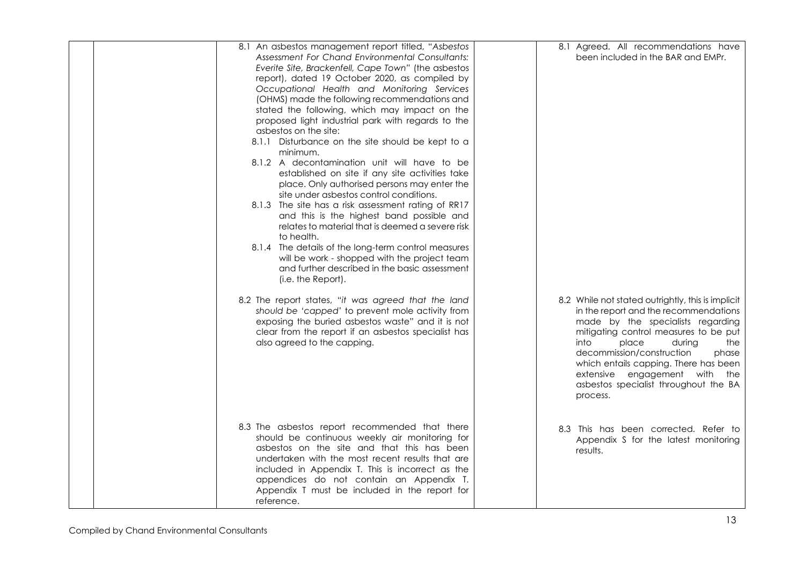| 8.1 An asbestos management report titled, "Asbestos<br>Assessment For Chand Environmental Consultants:<br>Everite Site, Brackenfell, Cape Town" (the asbestos<br>report), dated 19 October 2020, as compiled by<br>Occupational Health and Monitoring Services<br>(OHMS) made the following recommendations and<br>stated the following, which may impact on the<br>proposed light industrial park with regards to the<br>asbestos on the site:                                                                                                                                           | 8.1 Agreed. All recommendations have<br>been included in the BAR and EMPr.                                                                                                                                                                                                                                                                                                      |
|-------------------------------------------------------------------------------------------------------------------------------------------------------------------------------------------------------------------------------------------------------------------------------------------------------------------------------------------------------------------------------------------------------------------------------------------------------------------------------------------------------------------------------------------------------------------------------------------|---------------------------------------------------------------------------------------------------------------------------------------------------------------------------------------------------------------------------------------------------------------------------------------------------------------------------------------------------------------------------------|
| 8.1.1 Disturbance on the site should be kept to a<br>minimum.<br>8.1.2 A decontamination unit will have to be<br>established on site if any site activities take<br>place. Only authorised persons may enter the<br>site under asbestos control conditions.<br>8.1.3 The site has a risk assessment rating of RR17<br>and this is the highest band possible and<br>relates to material that is deemed a severe risk<br>to health.<br>8.1.4 The details of the long-term control measures<br>will be work - shopped with the project team<br>and further described in the basic assessment |                                                                                                                                                                                                                                                                                                                                                                                 |
| (i.e. the Report).<br>8.2 The report states, "it was agreed that the land<br>should be 'capped' to prevent mole activity from<br>exposing the buried asbestos waste" and it is not<br>clear from the report if an asbestos specialist has<br>also agreed to the capping.                                                                                                                                                                                                                                                                                                                  | 8.2 While not stated outrightly, this is implicit<br>in the report and the recommendations<br>made by the specialists regarding<br>mitigating control measures to be put<br>into<br>place<br>during<br>the<br>decommission/construction<br>phase<br>which entails capping. There has been<br>extensive engagement with the<br>asbestos specialist throughout the BA<br>process. |
| 8.3 The asbestos report recommended that there<br>should be continuous weekly air monitoring for<br>asbestos on the site and that this has been<br>undertaken with the most recent results that are<br>included in Appendix T. This is incorrect as the<br>appendices do not contain an Appendix T.<br>Appendix T must be included in the report for<br>reference.                                                                                                                                                                                                                        | 8.3 This has been corrected. Refer to<br>Appendix S for the latest monitoring<br>results.                                                                                                                                                                                                                                                                                       |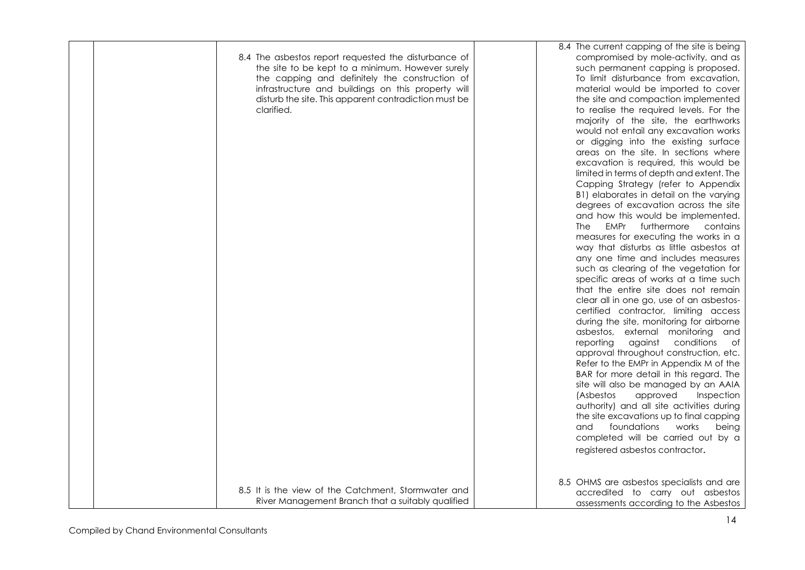|  |                                                       | 8.4 The current capping of the site is being |
|--|-------------------------------------------------------|----------------------------------------------|
|  | 8.4 The asbestos report requested the disturbance of  | compromised by mole-activity, and as         |
|  | the site to be kept to a minimum. However surely      | such permanent capping is proposed.          |
|  | the capping and definitely the construction of        | To limit disturbance from excavation,        |
|  | infrastructure and buildings on this property will    | material would be imported to cover          |
|  | disturb the site. This apparent contradiction must be | the site and compaction implemented          |
|  | clarified.                                            | to realise the required levels. For the      |
|  |                                                       | majority of the site, the earthworks         |
|  |                                                       | would not entail any excavation works        |
|  |                                                       | or digging into the existing surface         |
|  |                                                       | areas on the site. In sections where         |
|  |                                                       | excavation is required, this would be        |
|  |                                                       | limited in terms of depth and extent. The    |
|  |                                                       | Capping Strategy (refer to Appendix          |
|  |                                                       | B1) elaborates in detail on the varying      |
|  |                                                       | degrees of excavation across the site        |
|  |                                                       | and how this would be implemented.           |
|  |                                                       | EMPr furthermore<br>contains<br>The I        |
|  |                                                       | measures for executing the works in a        |
|  |                                                       | way that disturbs as little asbestos at      |
|  |                                                       | any one time and includes measures           |
|  |                                                       | such as clearing of the vegetation for       |
|  |                                                       | specific areas of works at a time such       |
|  |                                                       | that the entire site does not remain         |
|  |                                                       |                                              |
|  |                                                       | clear all in one go, use of an asbestos-     |
|  |                                                       | certified contractor, limiting access        |
|  |                                                       | during the site, monitoring for airborne     |
|  |                                                       | asbestos, external monitoring and            |
|  |                                                       | reporting<br>against<br>conditions<br>of     |
|  |                                                       | approval throughout construction, etc.       |
|  |                                                       | Refer to the EMPr in Appendix M of the       |
|  |                                                       | BAR for more detail in this regard. The      |
|  |                                                       | site will also be managed by an AAIA         |
|  |                                                       | <i>(Asbestos</i><br>approved<br>Inspection   |
|  |                                                       | authority) and all site activities during    |
|  |                                                       | the site excavations up to final capping     |
|  |                                                       | foundations<br>works<br>being<br>and         |
|  |                                                       | completed will be carried out by a           |
|  |                                                       | registered asbestos contractor.              |
|  |                                                       |                                              |
|  |                                                       |                                              |
|  |                                                       | 8.5 OHMS are asbestos specialists and are    |
|  | 8.5 It is the view of the Catchment, Stormwater and   | accredited to carry out asbestos             |
|  | River Management Branch that a suitably qualified     | assessments according to the Asbestos        |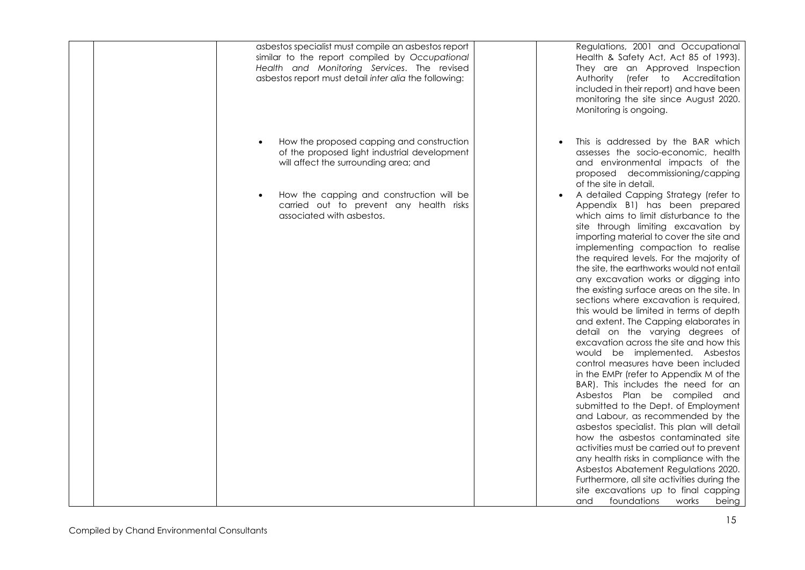| asbestos specialist must compile an asbestos report<br>similar to the report compiled by Occupational<br>Health and Monitoring Services. The revised<br>asbestos report must detail inter alia the following:                                          | Regulations, 2001 and Occupational<br>Health & Safety Act, Act 85 of 1993).<br>They are an Approved Inspection<br>Authority (refer to Accreditation<br>included in their report) and have been<br>monitoring the site since August 2020.<br>Monitoring is ongoing.                                                                                                                                                                                                                                                                                                                                                                                                                                                                                                                                                                                                                                                                                                                                                                                                                                                                                                                                                                                                                                                                                                                                                                                |
|--------------------------------------------------------------------------------------------------------------------------------------------------------------------------------------------------------------------------------------------------------|---------------------------------------------------------------------------------------------------------------------------------------------------------------------------------------------------------------------------------------------------------------------------------------------------------------------------------------------------------------------------------------------------------------------------------------------------------------------------------------------------------------------------------------------------------------------------------------------------------------------------------------------------------------------------------------------------------------------------------------------------------------------------------------------------------------------------------------------------------------------------------------------------------------------------------------------------------------------------------------------------------------------------------------------------------------------------------------------------------------------------------------------------------------------------------------------------------------------------------------------------------------------------------------------------------------------------------------------------------------------------------------------------------------------------------------------------|
| How the proposed capping and construction<br>of the proposed light industrial development<br>will affect the surrounding area; and<br>How the capping and construction will be<br>carried out to prevent any health risks<br>associated with asbestos. | This is addressed by the BAR which<br>assesses the socio-economic, health<br>and environmental impacts of the<br>proposed decommissioning/capping<br>of the site in detail.<br>A detailed Capping Strategy (refer to<br>Appendix B1) has been prepared<br>which aims to limit disturbance to the<br>site through limiting excavation by<br>importing material to cover the site and<br>implementing compaction to realise<br>the required levels. For the majority of<br>the site, the earthworks would not entail<br>any excavation works or digging into<br>the existing surface areas on the site. In<br>sections where excavation is required,<br>this would be limited in terms of depth<br>and extent. The Capping elaborates in<br>detail on the varying degrees of<br>excavation across the site and how this<br>would be implemented. Asbestos<br>control measures have been included<br>in the EMPr (refer to Appendix M of the<br>BAR). This includes the need for an<br>Asbestos Plan be compiled and<br>submitted to the Dept. of Employment<br>and Labour, as recommended by the<br>asbestos specialist. This plan will detail<br>how the asbestos contaminated site<br>activities must be carried out to prevent<br>any health risks in compliance with the<br>Asbestos Abatement Regulations 2020.<br>Furthermore, all site activities during the<br>site excavations up to final capping<br>foundations<br>and<br>works<br>being |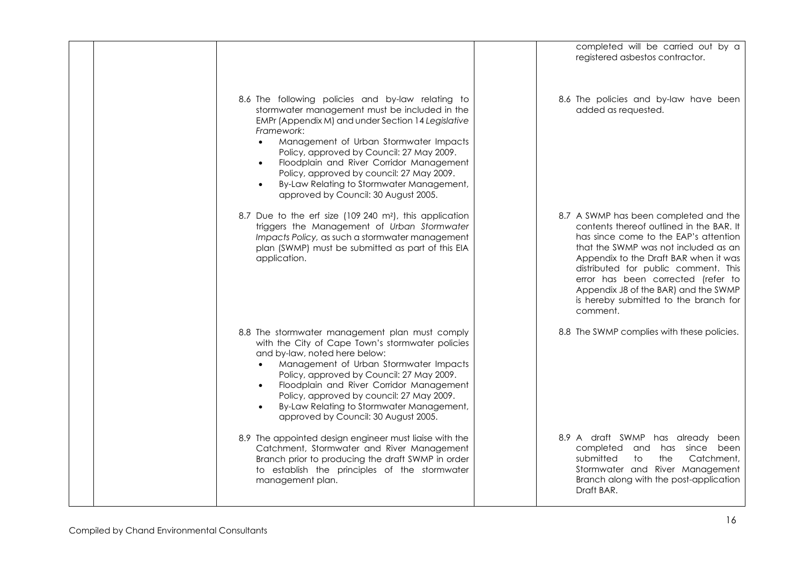|                                                                                                                                                                                                                                                                                                                                                                                                                                                                       | completed will be carried out by a<br>registered asbestos contractor.                                                                                                                                                                                                                                                                                                                  |
|-----------------------------------------------------------------------------------------------------------------------------------------------------------------------------------------------------------------------------------------------------------------------------------------------------------------------------------------------------------------------------------------------------------------------------------------------------------------------|----------------------------------------------------------------------------------------------------------------------------------------------------------------------------------------------------------------------------------------------------------------------------------------------------------------------------------------------------------------------------------------|
| 8.6 The following policies and by-law relating to<br>stormwater management must be included in the<br>EMPr (Appendix M) and under Section 14 Legislative<br>Framework:<br>Management of Urban Stormwater Impacts<br>$\bullet$<br>Policy, approved by Council: 27 May 2009.<br>Floodplain and River Corridor Management<br>$\bullet$<br>Policy, approved by council: 27 May 2009.<br>By-Law Relating to Stormwater Management,<br>approved by Council: 30 August 2005. | 8.6 The policies and by-law have been<br>added as requested.                                                                                                                                                                                                                                                                                                                           |
| 8.7 Due to the erf size (109 240 m <sup>2</sup> ), this application<br>triggers the Management of Urban Stormwater<br>Impacts Policy, as such a stormwater management<br>plan (SWMP) must be submitted as part of this EIA<br>application.                                                                                                                                                                                                                            | 8.7 A SWMP has been completed and the<br>contents thereof outlined in the BAR. It<br>has since come to the EAP's attention<br>that the SWMP was not included as an<br>Appendix to the Draft BAR when it was<br>distributed for public comment. This<br>error has been corrected (refer to<br>Appendix J8 of the BAR) and the SWMP<br>is hereby submitted to the branch for<br>comment. |
| 8.8 The stormwater management plan must comply<br>with the City of Cape Town's stormwater policies<br>and by-law, noted here below:<br>Management of Urban Stormwater Impacts<br>Policy, approved by Council: 27 May 2009.<br>Floodplain and River Corridor Management<br>$\bullet$<br>Policy, approved by council: 27 May 2009.<br>By-Law Relating to Stormwater Management,<br>$\bullet$<br>approved by Council: 30 August 2005.                                    | 8.8 The SWMP complies with these policies.                                                                                                                                                                                                                                                                                                                                             |
| 8.9 The appointed design engineer must liaise with the<br>Catchment, Stormwater and River Management<br>Branch prior to producing the draft SWMP in order<br>to establish the principles of the stormwater<br>management plan.                                                                                                                                                                                                                                        | 8.9 A draft SWMP has already been<br>completed and has since been<br>submitted<br>Catchment,<br>to<br>the<br>Stormwater and River Management<br>Branch along with the post-application<br>Draft BAR.                                                                                                                                                                                   |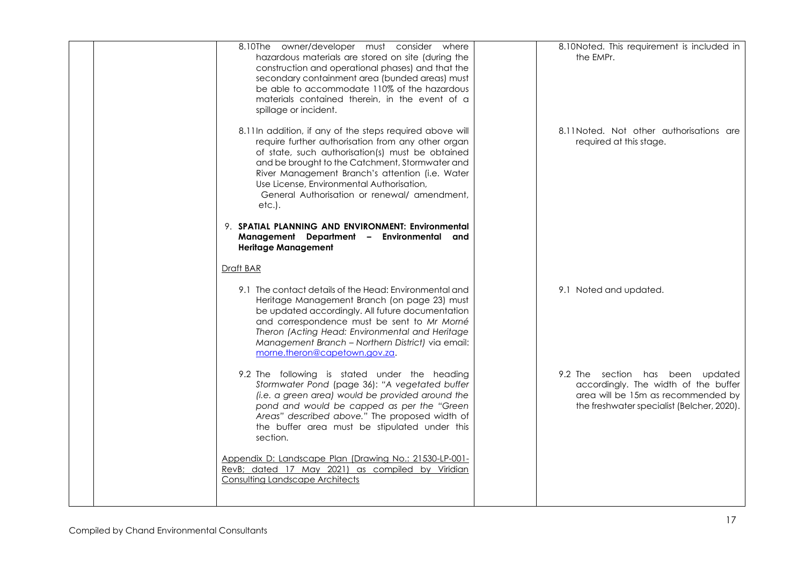| 8.10The owner/developer must consider where<br>hazardous materials are stored on site (during the<br>construction and operational phases) and that the<br>secondary containment area (bunded areas) must<br>be able to accommodate 110% of the hazardous<br>materials contained therein, in the event of a<br>spillage or incident.                                             | 8.10Noted. This requirement is included in<br>the EMPr.                                                                                                      |
|---------------------------------------------------------------------------------------------------------------------------------------------------------------------------------------------------------------------------------------------------------------------------------------------------------------------------------------------------------------------------------|--------------------------------------------------------------------------------------------------------------------------------------------------------------|
| 8.11In addition, if any of the steps required above will<br>require further authorisation from any other organ<br>of state, such authorisation(s) must be obtained<br>and be brought to the Catchment, Stormwater and<br>River Management Branch's attention (i.e. Water<br>Use License, Environmental Authorisation,<br>General Authorisation or renewal/ amendment,<br>etc.). | 8.11 Noted. Not other authorisations are<br>required at this stage.                                                                                          |
| 9. SPATIAL PLANNING AND ENVIRONMENT: Environmental<br>Management Department - Environmental and<br><b>Heritage Management</b>                                                                                                                                                                                                                                                   |                                                                                                                                                              |
| Draft BAR                                                                                                                                                                                                                                                                                                                                                                       |                                                                                                                                                              |
| 9.1 The contact details of the Head: Environmental and<br>Heritage Management Branch (on page 23) must<br>be updated accordingly. All future documentation<br>and correspondence must be sent to Mr Morné<br>Theron (Acting Head: Environmental and Heritage<br>Management Branch - Northern District) via email:<br>morne.theron@capetown.gov.za.                              | 9.1 Noted and updated.                                                                                                                                       |
| 9.2 The following is stated under the heading<br>Stormwater Pond (page 36): "A vegetated buffer<br>(i.e. a green area) would be provided around the<br>pond and would be capped as per the "Green<br>Areas" described above." The proposed width of<br>the buffer area must be stipulated under this<br>section.                                                                | 9.2 The section has been updated<br>accordingly. The width of the buffer<br>area will be 15m as recommended by<br>the freshwater specialist (Belcher, 2020). |
| Appendix D: Landscape Plan (Drawing No.: 21530-LP-001-<br>RevB; dated 17 May 2021) as compiled by Viridian<br><b>Consulting Landscape Architects</b>                                                                                                                                                                                                                            |                                                                                                                                                              |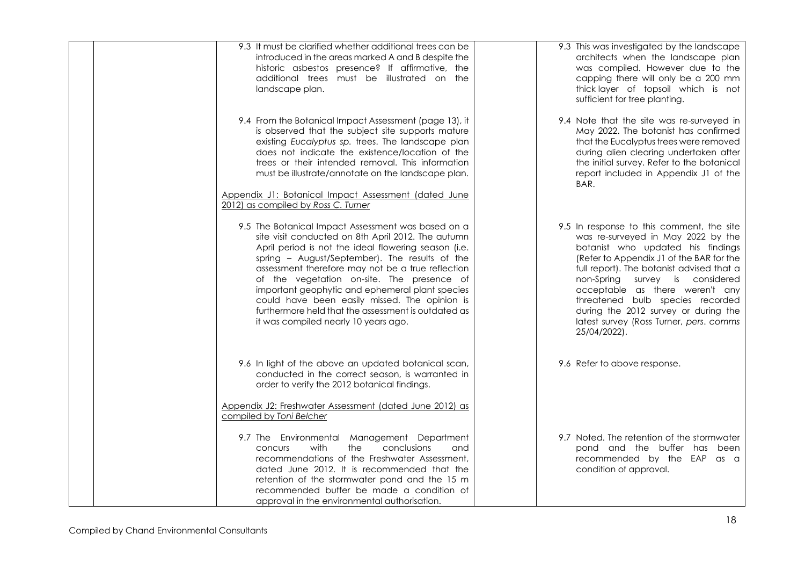| 9.3 It must be clarified whether additional trees can be<br>introduced in the areas marked A and B despite the<br>historic asbestos presence? If affirmative, the<br>additional trees must be illustrated on the<br>landscape plan.                                                                                                                                                                                                                                                                                      | 9.3 This was investigated by the landscape<br>architects when the landscape plan<br>was compiled. However due to the<br>capping there will only be a 200 mm<br>thick layer of topsoil which is not<br>sufficient for tree planting.                                                                                                                                                                                        |
|--------------------------------------------------------------------------------------------------------------------------------------------------------------------------------------------------------------------------------------------------------------------------------------------------------------------------------------------------------------------------------------------------------------------------------------------------------------------------------------------------------------------------|----------------------------------------------------------------------------------------------------------------------------------------------------------------------------------------------------------------------------------------------------------------------------------------------------------------------------------------------------------------------------------------------------------------------------|
| 9.4 From the Botanical Impact Assessment (page 13), it<br>is observed that the subject site supports mature<br>existing Eucalyptus sp. trees. The landscape plan<br>does not indicate the existence/location of the<br>trees or their intended removal. This information<br>must be illustrate/annotate on the landscape plan.<br>Appendix J1: Botanical Impact Assessment (dated June                                                                                                                                   | 9.4 Note that the site was re-surveyed in<br>May 2022. The botanist has confirmed<br>that the Eucalyptus trees were removed<br>during alien clearing undertaken after<br>the initial survey. Refer to the botanical<br>report included in Appendix J1 of the<br>BAR.                                                                                                                                                       |
| 2012) as compiled by Ross C. Turner                                                                                                                                                                                                                                                                                                                                                                                                                                                                                      |                                                                                                                                                                                                                                                                                                                                                                                                                            |
| 9.5 The Botanical Impact Assessment was based on a<br>site visit conducted on 8th April 2012. The autumn<br>April period is not the ideal flowering season (i.e.<br>spring - August/September). The results of the<br>assessment therefore may not be a true reflection<br>of the vegetation on-site. The presence of<br>important geophytic and ephemeral plant species<br>could have been easily missed. The opinion is<br>furthermore held that the assessment is outdated as<br>it was compiled nearly 10 years ago. | 9.5 In response to this comment, the site<br>was re-surveyed in May 2022 by the<br>botanist who updated his findings<br>(Refer to Appendix J1 of the BAR for the<br>full report). The botanist advised that a<br>non-Spring survey is considered<br>acceptable as there weren't any<br>threatened bulb species recorded<br>during the 2012 survey or during the<br>latest survey (Ross Turner, pers. comms<br>25/04/2022). |
| 9.6 In light of the above an updated botanical scan,<br>conducted in the correct season, is warranted in<br>order to verify the 2012 botanical findings.                                                                                                                                                                                                                                                                                                                                                                 | 9.6 Refer to above response.                                                                                                                                                                                                                                                                                                                                                                                               |
| Appendix J2: Freshwater Assessment (dated June 2012) as<br>compiled by Toni Belcher                                                                                                                                                                                                                                                                                                                                                                                                                                      |                                                                                                                                                                                                                                                                                                                                                                                                                            |
| 9.7 The Environmental Management Department<br>with<br>conclusions<br>the<br>and<br>concurs<br>recommendations of the Freshwater Assessment,<br>dated June 2012. It is recommended that the<br>retention of the stormwater pond and the 15 m<br>recommended buffer be made a condition of<br>approval in the environmental authorisation.                                                                                                                                                                                | 9.7 Noted. The retention of the stormwater<br>pond and the buffer has been<br>recommended by the EAP as a<br>condition of approval.                                                                                                                                                                                                                                                                                        |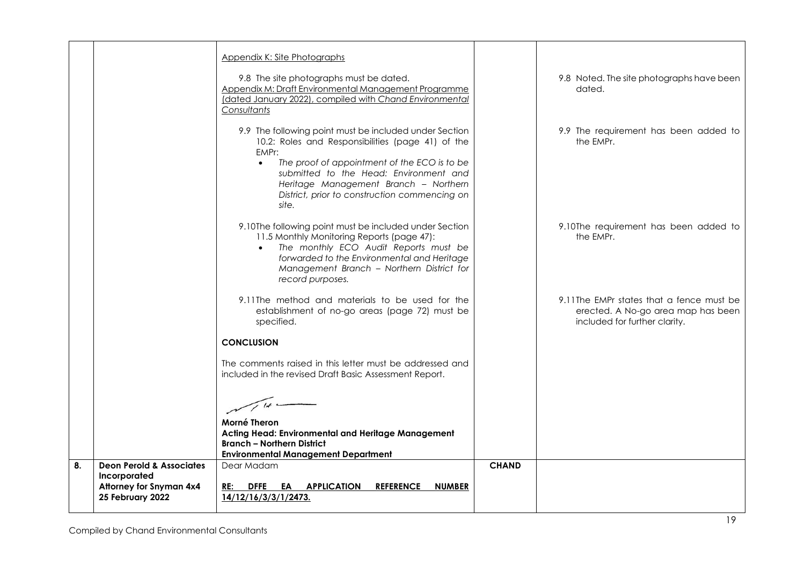|    |                                     | Appendix K: Site Photographs                                                                                                                                                                                                                                                                                                   |              |                                                                                                                  |
|----|-------------------------------------|--------------------------------------------------------------------------------------------------------------------------------------------------------------------------------------------------------------------------------------------------------------------------------------------------------------------------------|--------------|------------------------------------------------------------------------------------------------------------------|
|    |                                     | 9.8 The site photographs must be dated.<br>Appendix M: Draft Environmental Management Programme<br>(dated January 2022), compiled with Chand Environmental<br>Consultants                                                                                                                                                      |              | 9.8 Noted. The site photographs have been<br>dated.                                                              |
|    |                                     | 9.9 The following point must be included under Section<br>10.2: Roles and Responsibilities (page 41) of the<br>EMPr:<br>The proof of appointment of the ECO is to be<br>$\bullet$<br>submitted to the Head: Environment and<br>Heritage Management Branch - Northern<br>District, prior to construction commencing on<br>site. |              | 9.9 The requirement has been added to<br>the EMPr.                                                               |
|    |                                     | 9.10The following point must be included under Section<br>11.5 Monthly Monitoring Reports (page 47):<br>The monthly ECO Audit Reports must be<br>forwarded to the Environmental and Heritage<br>Management Branch - Northern District for<br>record purposes.                                                                  |              | 9.10The requirement has been added to<br>the EMPr.                                                               |
|    |                                     | 9.11The method and materials to be used for the<br>establishment of no-go areas (page 72) must be<br>specified.                                                                                                                                                                                                                |              | 9.11 The EMPr states that a fence must be<br>erected. A No-go area map has been<br>included for further clarity. |
|    |                                     | <b>CONCLUSION</b>                                                                                                                                                                                                                                                                                                              |              |                                                                                                                  |
|    |                                     | The comments raised in this letter must be addressed and<br>included in the revised Draft Basic Assessment Report.                                                                                                                                                                                                             |              |                                                                                                                  |
|    |                                     |                                                                                                                                                                                                                                                                                                                                |              |                                                                                                                  |
|    |                                     | Morné Theron<br>Acting Head: Environmental and Heritage Management<br><b>Branch - Northern District</b><br><b>Environmental Management Department</b>                                                                                                                                                                          |              |                                                                                                                  |
| 8. | <b>Deon Perold &amp; Associates</b> | Dear Madam                                                                                                                                                                                                                                                                                                                     | <b>CHAND</b> |                                                                                                                  |
|    | Incorporated                        |                                                                                                                                                                                                                                                                                                                                |              |                                                                                                                  |
|    | <b>Attorney for Snyman 4x4</b>      | RE: DFFE EA APPLICATION<br><b>REFERENCE</b><br><b>NUMBER</b>                                                                                                                                                                                                                                                                   |              |                                                                                                                  |
|    | 25 February 2022                    | 14/12/16/3/3/1/2473.                                                                                                                                                                                                                                                                                                           |              |                                                                                                                  |
|    |                                     |                                                                                                                                                                                                                                                                                                                                |              |                                                                                                                  |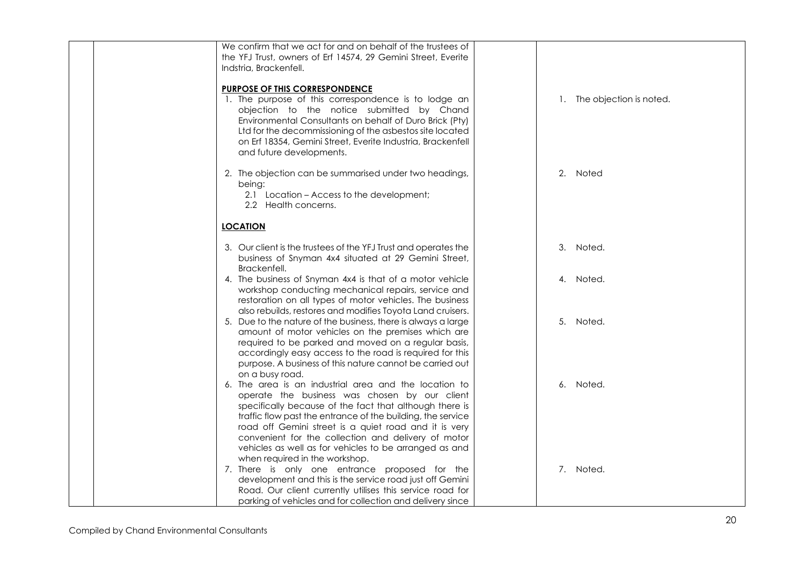| We confirm that we act for and on behalf of the trustees of<br>the YFJ Trust, owners of Erf 14574, 29 Gemini Street, Everite<br>Indstria, Brackenfell.                                                                                                                                                                                                                                                     |                            |
|------------------------------------------------------------------------------------------------------------------------------------------------------------------------------------------------------------------------------------------------------------------------------------------------------------------------------------------------------------------------------------------------------------|----------------------------|
| <b>PURPOSE OF THIS CORRESPONDENCE</b><br>1. The purpose of this correspondence is to lodge an<br>objection to the notice submitted by Chand<br>Environmental Consultants on behalf of Duro Brick (Pty)<br>Ltd for the decommissioning of the asbestos site located<br>on Erf 18354, Gemini Street, Everite Industria, Brackenfell<br>and future developments.                                              | 1. The objection is noted. |
| 2. The objection can be summarised under two headings,<br>being:<br>2.1 Location - Access to the development;<br>2.2 Health concerns.                                                                                                                                                                                                                                                                      | 2. Noted                   |
| <b>LOCATION</b>                                                                                                                                                                                                                                                                                                                                                                                            |                            |
| 3. Our client is the trustees of the YFJ Trust and operates the<br>business of Snyman 4x4 situated at 29 Gemini Street,<br>Brackenfell.                                                                                                                                                                                                                                                                    | 3. Noted.                  |
| 4. The business of Snyman 4x4 is that of a motor vehicle<br>workshop conducting mechanical repairs, service and<br>restoration on all types of motor vehicles. The business                                                                                                                                                                                                                                | 4. Noted.                  |
| also rebuilds, restores and modifies Toyota Land cruisers.<br>5. Due to the nature of the business, there is always a large<br>amount of motor vehicles on the premises which are<br>required to be parked and moved on a regular basis,<br>accordingly easy access to the road is required for this<br>purpose. A business of this nature cannot be carried out<br>on a busy road.                        | 5. Noted.                  |
| 6. The area is an industrial area and the location to<br>operate the business was chosen by our client<br>specifically because of the fact that although there is<br>traffic flow past the entrance of the building, the service<br>road off Gemini street is a quiet road and it is very<br>convenient for the collection and delivery of motor<br>vehicles as well as for vehicles to be arranged as and | 6. Noted.                  |
| when required in the workshop.<br>7. There is only one entrance proposed for the<br>development and this is the service road just off Gemini<br>Road. Our client currently utilises this service road for<br>parking of vehicles and for collection and delivery since                                                                                                                                     | 7. Noted.                  |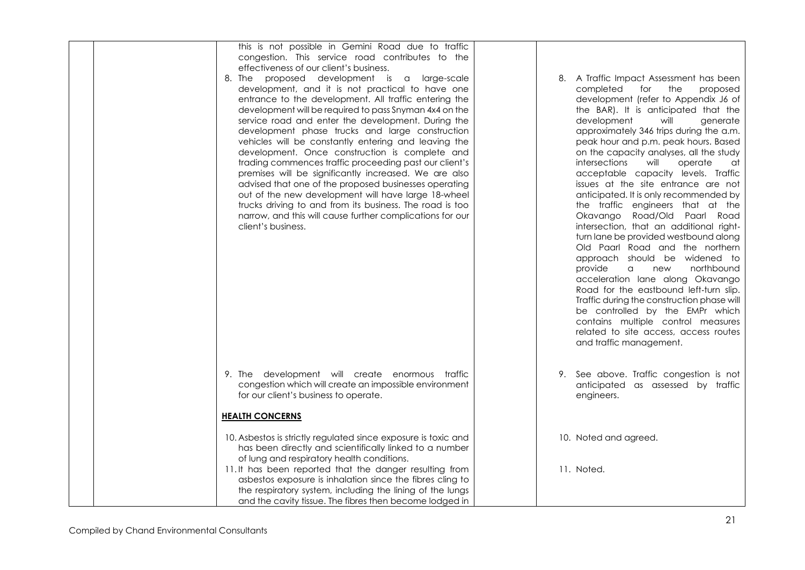| this is not possible in Gemini Road due to traffic<br>congestion. This service road contributes to the<br>effectiveness of our client's business.<br>8. The proposed development is a large-scale<br>development, and it is not practical to have one<br>entrance to the development. All traffic entering the<br>development will be required to pass Snyman 4x4 on the<br>service road and enter the development. During the<br>development phase trucks and large construction<br>vehicles will be constantly entering and leaving the<br>development. Once construction is complete and<br>trading commences traffic proceeding past our client's<br>premises will be significantly increased. We are also<br>advised that one of the proposed businesses operating<br>out of the new development will have large 18-wheel<br>trucks driving to and from its business. The road is too<br>narrow, and this will cause further complications for our<br>client's business. | 8. A Traffic Impact Assessment has been<br>the<br>completed<br>for<br>proposed<br>development (refer to Appendix J6 of<br>the BAR). It is anticipated that the<br>development<br>will<br>generate<br>approximately 346 trips during the a.m.<br>peak hour and p.m. peak hours. Based<br>on the capacity analyses, all the study<br><i>intersections</i><br>will<br>operate<br>at<br>acceptable capacity levels. Traffic<br>issues at the site entrance are not<br>anticipated. It is only recommended by<br>the traffic engineers that at the<br>Okavango Road/Old Paarl Road<br>intersection, that an additional right-<br>turn lane be provided westbound along<br>Old Paarl Road and the northern<br>approach should be widened to<br>northbound<br>provide<br>a new<br>acceleration lane along Okavango<br>Road for the eastbound left-turn slip.<br>Traffic during the construction phase will<br>be controlled by the EMPr which<br>contains multiple control measures<br>related to site access, access routes |
|-------------------------------------------------------------------------------------------------------------------------------------------------------------------------------------------------------------------------------------------------------------------------------------------------------------------------------------------------------------------------------------------------------------------------------------------------------------------------------------------------------------------------------------------------------------------------------------------------------------------------------------------------------------------------------------------------------------------------------------------------------------------------------------------------------------------------------------------------------------------------------------------------------------------------------------------------------------------------------|-----------------------------------------------------------------------------------------------------------------------------------------------------------------------------------------------------------------------------------------------------------------------------------------------------------------------------------------------------------------------------------------------------------------------------------------------------------------------------------------------------------------------------------------------------------------------------------------------------------------------------------------------------------------------------------------------------------------------------------------------------------------------------------------------------------------------------------------------------------------------------------------------------------------------------------------------------------------------------------------------------------------------|
| 9. The development will create enormous traffic<br>congestion which will create an impossible environment<br>for our client's business to operate.                                                                                                                                                                                                                                                                                                                                                                                                                                                                                                                                                                                                                                                                                                                                                                                                                            | and traffic management.<br>9. See above. Traffic congestion is not<br>anticipated as assessed by traffic<br>engineers.                                                                                                                                                                                                                                                                                                                                                                                                                                                                                                                                                                                                                                                                                                                                                                                                                                                                                                |
| <b>HEALTH CONCERNS</b>                                                                                                                                                                                                                                                                                                                                                                                                                                                                                                                                                                                                                                                                                                                                                                                                                                                                                                                                                        |                                                                                                                                                                                                                                                                                                                                                                                                                                                                                                                                                                                                                                                                                                                                                                                                                                                                                                                                                                                                                       |
| 10. Asbestos is strictly regulated since exposure is toxic and<br>has been directly and scientifically linked to a number<br>of lung and respiratory health conditions.                                                                                                                                                                                                                                                                                                                                                                                                                                                                                                                                                                                                                                                                                                                                                                                                       | 10. Noted and agreed.                                                                                                                                                                                                                                                                                                                                                                                                                                                                                                                                                                                                                                                                                                                                                                                                                                                                                                                                                                                                 |
| 11.It has been reported that the danger resulting from<br>asbestos exposure is inhalation since the fibres cling to<br>the respiratory system, including the lining of the lungs<br>and the cavity tissue. The fibres then become lodged in                                                                                                                                                                                                                                                                                                                                                                                                                                                                                                                                                                                                                                                                                                                                   | 11. Noted.                                                                                                                                                                                                                                                                                                                                                                                                                                                                                                                                                                                                                                                                                                                                                                                                                                                                                                                                                                                                            |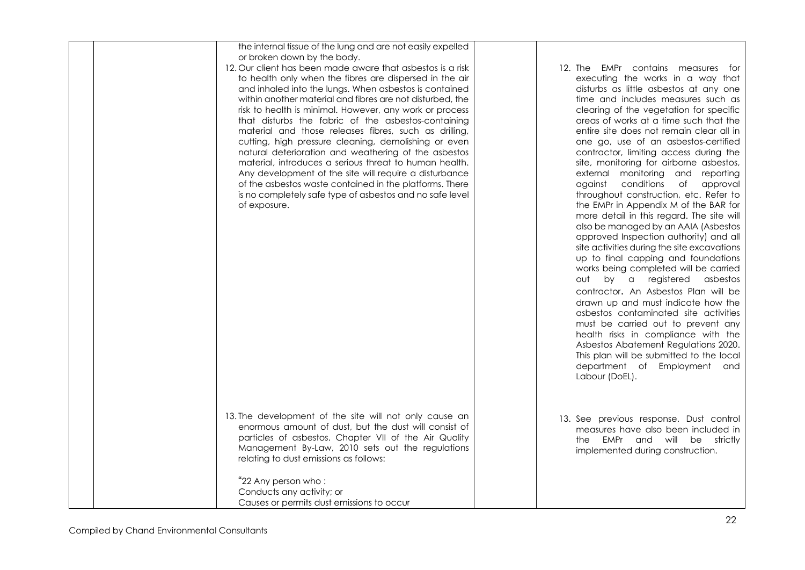| the internal tissue of the lung and are not easily expelled                                                                                                                                                                                                                                                                                                                                                                                                                                                                                                                                                                                                                                                                                                                                                                       |                                                                                                                                                                                                                                                                                                                                                                                                                                                                                                                                                                                                                                                                                                                                                                                                                                                                                                                                                                                                                                                                                                                                                                                                                                  |
|-----------------------------------------------------------------------------------------------------------------------------------------------------------------------------------------------------------------------------------------------------------------------------------------------------------------------------------------------------------------------------------------------------------------------------------------------------------------------------------------------------------------------------------------------------------------------------------------------------------------------------------------------------------------------------------------------------------------------------------------------------------------------------------------------------------------------------------|----------------------------------------------------------------------------------------------------------------------------------------------------------------------------------------------------------------------------------------------------------------------------------------------------------------------------------------------------------------------------------------------------------------------------------------------------------------------------------------------------------------------------------------------------------------------------------------------------------------------------------------------------------------------------------------------------------------------------------------------------------------------------------------------------------------------------------------------------------------------------------------------------------------------------------------------------------------------------------------------------------------------------------------------------------------------------------------------------------------------------------------------------------------------------------------------------------------------------------|
| or broken down by the body.<br>12. Our client has been made aware that asbestos is a risk<br>to health only when the fibres are dispersed in the air<br>and inhaled into the lungs. When asbestos is contained<br>within another material and fibres are not disturbed, the<br>risk to health is minimal. However, any work or process<br>that disturbs the fabric of the asbestos-containing<br>material and those releases fibres, such as drilling,<br>cutting, high pressure cleaning, demolishing or even<br>natural deterioration and weathering of the asbestos<br>material, introduces a serious threat to human health.<br>Any development of the site will require a disturbance<br>of the asbestos waste contained in the platforms. There<br>is no completely safe type of asbestos and no safe level<br>of exposure. | 12. The EMPr contains measures for<br>executing the works in a way that<br>disturbs as little asbestos at any one<br>time and includes measures such as<br>clearing of the vegetation for specific<br>areas of works at a time such that the<br>entire site does not remain clear all in<br>one go, use of an asbestos-certified<br>contractor, limiting access during the<br>site, monitoring for airborne asbestos,<br>external monitoring and reporting<br>conditions of<br>against<br>approval<br>throughout construction, etc. Refer to<br>the EMPr in Appendix M of the BAR for<br>more detail in this regard. The site will<br>also be managed by an AAIA (Asbestos<br>approved Inspection authority) and all<br>site activities during the site excavations<br>up to final capping and foundations<br>works being completed will be carried<br>out by a registered<br>asbestos<br>contractor. An Asbestos Plan will be<br>drawn up and must indicate how the<br>asbestos contaminated site activities<br>must be carried out to prevent any<br>health risks in compliance with the<br>Asbestos Abatement Regulations 2020.<br>This plan will be submitted to the local<br>department of Employment and<br>Labour (DoEL). |
| 13. The development of the site will not only cause an<br>enormous amount of dust, but the dust will consist of<br>particles of asbestos. Chapter VII of the Air Quality<br>Management By-Law, 2010 sets out the regulations<br>relating to dust emissions as follows:                                                                                                                                                                                                                                                                                                                                                                                                                                                                                                                                                            | 13. See previous response. Dust control<br>measures have also been included in<br>the EMPr and will be strictly<br>implemented during construction.                                                                                                                                                                                                                                                                                                                                                                                                                                                                                                                                                                                                                                                                                                                                                                                                                                                                                                                                                                                                                                                                              |
| "22 Any person who:<br>Conducts any activity; or<br>Causes or permits dust emissions to occur                                                                                                                                                                                                                                                                                                                                                                                                                                                                                                                                                                                                                                                                                                                                     |                                                                                                                                                                                                                                                                                                                                                                                                                                                                                                                                                                                                                                                                                                                                                                                                                                                                                                                                                                                                                                                                                                                                                                                                                                  |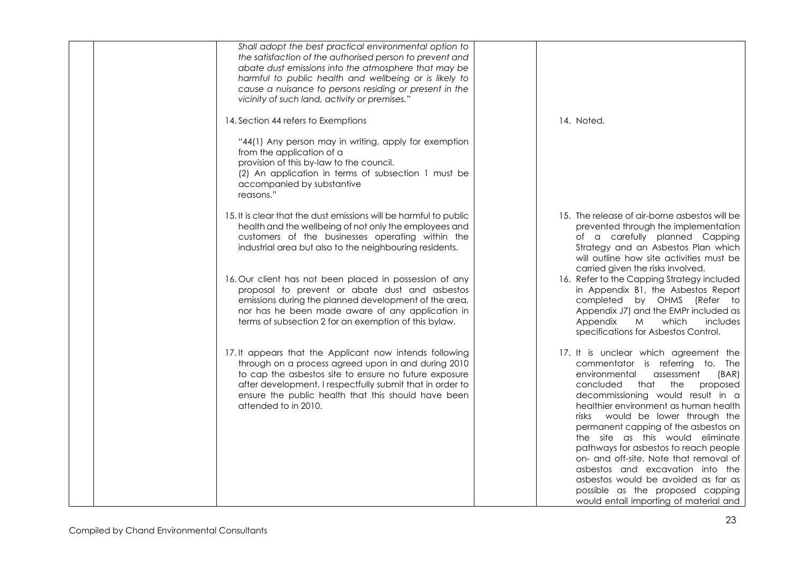| Shall adopt the best practical environmental option to<br>the satisfaction of the authorised person to prevent and<br>abate dust emissions into the atmosphere that may be<br>harmful to public health and wellbeing or is likely to<br>cause a nuisance to persons residing or present in the<br>vicinity of such land, activity or premises."<br>14. Section 44 refers to Exemptions<br>"44(1) Any person may in writing, apply for exemption<br>from the application of a<br>provision of this by-law to the council.<br>(2) An application in terms of subsection 1 must be<br>accompanied by substantive<br>reasons." | 14. Noted.                                                                                                                                                                                                                                                                                                                                                                                                                                                                                                                                                                                          |
|----------------------------------------------------------------------------------------------------------------------------------------------------------------------------------------------------------------------------------------------------------------------------------------------------------------------------------------------------------------------------------------------------------------------------------------------------------------------------------------------------------------------------------------------------------------------------------------------------------------------------|-----------------------------------------------------------------------------------------------------------------------------------------------------------------------------------------------------------------------------------------------------------------------------------------------------------------------------------------------------------------------------------------------------------------------------------------------------------------------------------------------------------------------------------------------------------------------------------------------------|
| 15. It is clear that the dust emissions will be harmful to public<br>health and the wellbeing of not only the employees and<br>customers of the businesses operating within the<br>industrial area but also to the neighbouring residents.<br>16. Our client has not been placed in possession of any<br>proposal to prevent or abate dust and asbestos<br>emissions during the planned development of the area,<br>nor has he been made aware of any application in<br>terms of subsection 2 for an exemption of this bylaw.                                                                                              | 15. The release of air-borne asbestos will be<br>prevented through the implementation<br>of a carefully planned Capping<br>Strategy and an Asbestos Plan which<br>will outline how site activities must be<br>carried given the risks involved.<br>16. Refer to the Capping Strategy included<br>in Appendix B1, the Asbestos Report<br>completed by OHMS (Refer to<br>Appendix J7) and the EMPr included as<br>which<br>Appendix<br>M<br>includes<br>specifications for Asbestos Control.                                                                                                          |
| 17. It appears that the Applicant now intends following<br>through on a process agreed upon in and during 2010<br>to cap the asbestos site to ensure no future exposure<br>after development. I respectfully submit that in order to<br>ensure the public health that this should have been<br>attended to in 2010.                                                                                                                                                                                                                                                                                                        | 17. It is unclear which agreement the<br>commentator is referring to. The<br>environmental<br>(BAR)<br>assessment<br>concluded<br>that<br>the<br>proposed<br>decommissioning would result in a<br>healthier environment as human health<br>risks would be lower through the<br>permanent capping of the asbestos on<br>the site as this would eliminate<br>pathways for asbestos to reach people<br>on- and off-site. Note that removal of<br>asbestos and excavation into the<br>asbestos would be avoided as far as<br>possible as the proposed capping<br>would entail importing of material and |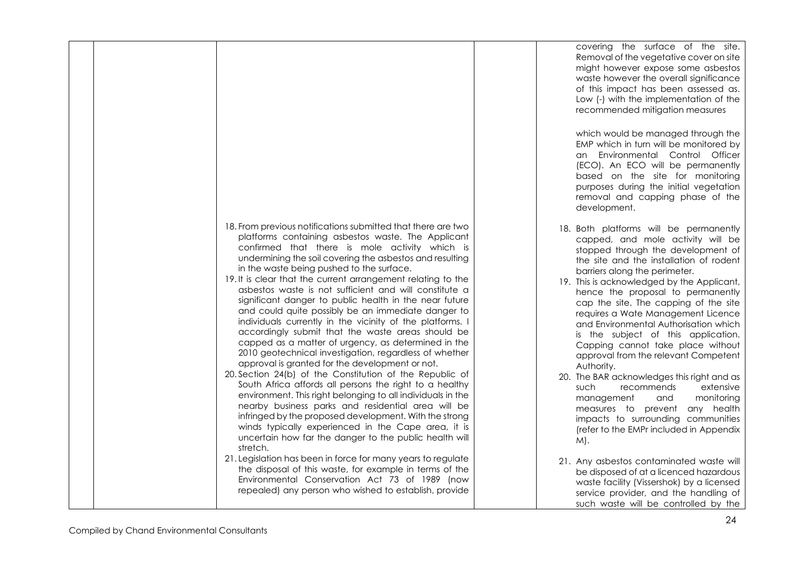|  |                                                                                                                                                                                                                                                                                                                                                                                                                                                                                                                                                                                                                                                                                                                                                                                                                                                                                                                                                                                                                                                                                                                                                                                                                                                  | covering the surface of the site.<br>Removal of the vegetative cover on site<br>might however expose some asbestos<br>waste however the overall significance<br>of this impact has been assessed as.<br>Low (-) with the implementation of the<br>recommended mitigation measures                                                                                                                                                                                                                                                                                                                                                                                                                                                                                                           |
|--|--------------------------------------------------------------------------------------------------------------------------------------------------------------------------------------------------------------------------------------------------------------------------------------------------------------------------------------------------------------------------------------------------------------------------------------------------------------------------------------------------------------------------------------------------------------------------------------------------------------------------------------------------------------------------------------------------------------------------------------------------------------------------------------------------------------------------------------------------------------------------------------------------------------------------------------------------------------------------------------------------------------------------------------------------------------------------------------------------------------------------------------------------------------------------------------------------------------------------------------------------|---------------------------------------------------------------------------------------------------------------------------------------------------------------------------------------------------------------------------------------------------------------------------------------------------------------------------------------------------------------------------------------------------------------------------------------------------------------------------------------------------------------------------------------------------------------------------------------------------------------------------------------------------------------------------------------------------------------------------------------------------------------------------------------------|
|  |                                                                                                                                                                                                                                                                                                                                                                                                                                                                                                                                                                                                                                                                                                                                                                                                                                                                                                                                                                                                                                                                                                                                                                                                                                                  | which would be managed through the<br>EMP which in turn will be monitored by<br>an Environmental Control Officer<br>(ECO). An ECO will be permanently<br>based on the site for monitoring<br>purposes during the initial vegetation<br>removal and capping phase of the<br>development.                                                                                                                                                                                                                                                                                                                                                                                                                                                                                                     |
|  | 18. From previous notifications submitted that there are two<br>platforms containing asbestos waste. The Applicant<br>confirmed that there is mole activity which is<br>undermining the soil covering the asbestos and resulting<br>in the waste being pushed to the surface.<br>19. It is clear that the current arrangement relating to the<br>asbestos waste is not sufficient and will constitute a<br>significant danger to public health in the near future<br>and could quite possibly be an immediate danger to<br>individuals currently in the vicinity of the platforms. I<br>accordingly submit that the waste areas should be<br>capped as a matter of urgency, as determined in the<br>2010 geotechnical investigation, regardless of whether<br>approval is granted for the development or not.<br>20. Section 24(b) of the Constitution of the Republic of<br>South Africa affords all persons the right to a healthy<br>environment. This right belonging to all individuals in the<br>nearby business parks and residential area will be<br>infringed by the proposed development. With the strong<br>winds typically experienced in the Cape area, it is<br>uncertain how far the danger to the public health will<br>stretch. | 18. Both platforms will be permanently<br>capped, and mole activity will be<br>stopped through the development of<br>the site and the installation of rodent<br>barriers along the perimeter.<br>19. This is acknowledged by the Applicant,<br>hence the proposal to permanently<br>cap the site. The capping of the site<br>requires a Wate Management Licence<br>and Environmental Authorisation which<br>is the subject of this application.<br>Capping cannot take place without<br>approval from the relevant Competent<br>Authority.<br>20. The BAR acknowledges this right and as<br>such<br>extensive<br>recommends<br>monitoring<br>management<br>and<br>measures to prevent any health<br>impacts to surrounding communities<br>(refer to the EMPr included in Appendix<br>$M$ ). |
|  | 21. Legislation has been in force for many years to regulate<br>the disposal of this waste, for example in terms of the<br>Environmental Conservation Act 73 of 1989 (now<br>repealed) any person who wished to establish, provide                                                                                                                                                                                                                                                                                                                                                                                                                                                                                                                                                                                                                                                                                                                                                                                                                                                                                                                                                                                                               | 21. Any asbestos contaminated waste will<br>be disposed of at a licenced hazardous<br>waste facility (Vissershok) by a licensed<br>service provider, and the handling of<br>such waste will be controlled by the                                                                                                                                                                                                                                                                                                                                                                                                                                                                                                                                                                            |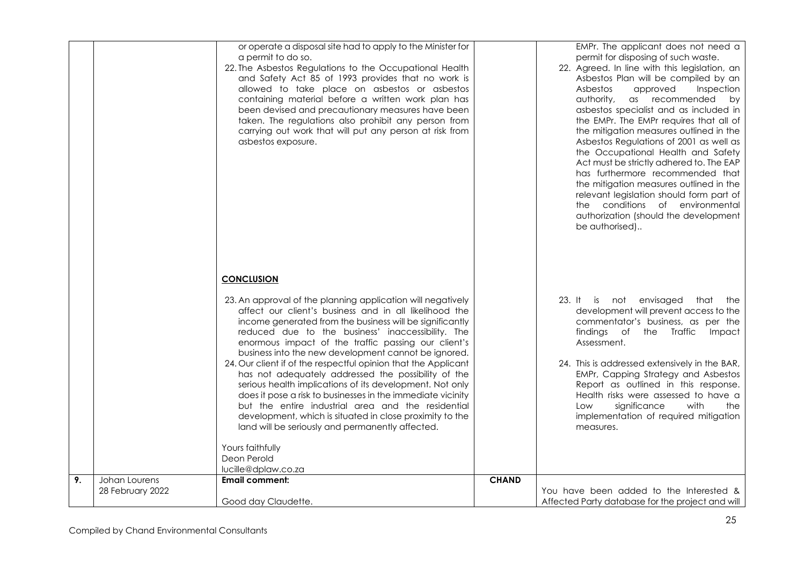|    |                  | or operate a disposal site had to apply to the Minister for<br>a permit to do so.<br>22. The Asbestos Regulations to the Occupational Health<br>and Safety Act 85 of 1993 provides that no work is<br>allowed to take place on asbestos or asbestos<br>containing material before a written work plan has<br>been devised and precautionary measures have been<br>taken. The regulations also prohibit any person from<br>carrying out work that will put any person at risk from<br>asbestos exposure.                                                                                                                                                                                                                                                                                                                                   |              | EMPr. The applicant does not need a<br>permit for disposing of such waste.<br>22. Agreed. In line with this legislation, an<br>Asbestos Plan will be compiled by an<br>Asbestos<br>approved<br>Inspection<br>authority,<br>as recommended<br>by<br>asbestos specialist and as included in<br>the EMPr. The EMPr requires that all of<br>the mitigation measures outlined in the<br>Asbestos Regulations of 2001 as well as<br>the Occupational Health and Safety<br>Act must be strictly adhered to. The EAP<br>has furthermore recommended that<br>the mitigation measures outlined in the<br>relevant legislation should form part of<br>the conditions of environmental<br>authorization (should the development<br>be authorised) |
|----|------------------|-------------------------------------------------------------------------------------------------------------------------------------------------------------------------------------------------------------------------------------------------------------------------------------------------------------------------------------------------------------------------------------------------------------------------------------------------------------------------------------------------------------------------------------------------------------------------------------------------------------------------------------------------------------------------------------------------------------------------------------------------------------------------------------------------------------------------------------------|--------------|---------------------------------------------------------------------------------------------------------------------------------------------------------------------------------------------------------------------------------------------------------------------------------------------------------------------------------------------------------------------------------------------------------------------------------------------------------------------------------------------------------------------------------------------------------------------------------------------------------------------------------------------------------------------------------------------------------------------------------------|
|    |                  | <b>CONCLUSION</b>                                                                                                                                                                                                                                                                                                                                                                                                                                                                                                                                                                                                                                                                                                                                                                                                                         |              |                                                                                                                                                                                                                                                                                                                                                                                                                                                                                                                                                                                                                                                                                                                                       |
|    |                  |                                                                                                                                                                                                                                                                                                                                                                                                                                                                                                                                                                                                                                                                                                                                                                                                                                           |              |                                                                                                                                                                                                                                                                                                                                                                                                                                                                                                                                                                                                                                                                                                                                       |
|    |                  | 23. An approval of the planning application will negatively<br>affect our client's business and in all likelihood the<br>income generated from the business will be significantly<br>reduced due to the business' inaccessibility. The<br>enormous impact of the traffic passing our client's<br>business into the new development cannot be ignored.<br>24. Our client if of the respectful opinion that the Applicant<br>has not adequately addressed the possibility of the<br>serious health implications of its development. Not only<br>does it pose a risk to businesses in the immediate vicinity<br>but the entire industrial area and the residential<br>development, which is situated in close proximity to the<br>land will be seriously and permanently affected.<br>Yours faithfully<br>Deon Perold<br>lucille@dplaw.co.za |              | 23. It is not envisaged<br>that the<br>development will prevent access to the<br>commentator's business, as per the<br>findings of the Traffic<br>Impact<br>Assessment.<br>24. This is addressed extensively in the BAR,<br>EMPr, Capping Strategy and Asbestos<br>Report as outlined in this response.<br>Health risks were assessed to have a<br>with<br>significance<br>the<br>Low<br>implementation of required mitigation<br>measures.                                                                                                                                                                                                                                                                                           |
| 9. | Johan Lourens    | Email comment:                                                                                                                                                                                                                                                                                                                                                                                                                                                                                                                                                                                                                                                                                                                                                                                                                            | <b>CHAND</b> |                                                                                                                                                                                                                                                                                                                                                                                                                                                                                                                                                                                                                                                                                                                                       |
|    | 28 February 2022 | Good day Claudette.                                                                                                                                                                                                                                                                                                                                                                                                                                                                                                                                                                                                                                                                                                                                                                                                                       |              | You have been added to the Interested &<br>Affected Party database for the project and will                                                                                                                                                                                                                                                                                                                                                                                                                                                                                                                                                                                                                                           |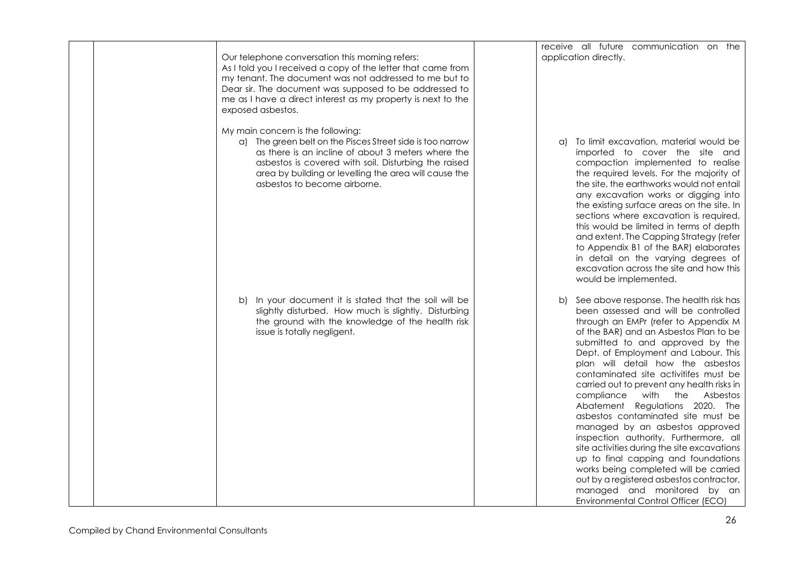| Our telephone conversation this morning refers:<br>As I told you I received a copy of the letter that came from<br>my tenant. The document was not addressed to me but to<br>Dear sir. The document was supposed to be addressed to<br>me as I have a direct interest as my property is next to the<br>exposed asbestos.<br>My main concern is the following:<br>a) The green belt on the Pisces Street side is too narrow<br>as there is an incline of about 3 meters where the | receive all future communication on the<br>application directly.<br>To limit excavation, material would be<br>a)<br>imported to cover the site and                                                                                                                                                                                                                                                                                                                                                                                                                                                                                                                                                                                                                                                                     |
|----------------------------------------------------------------------------------------------------------------------------------------------------------------------------------------------------------------------------------------------------------------------------------------------------------------------------------------------------------------------------------------------------------------------------------------------------------------------------------|------------------------------------------------------------------------------------------------------------------------------------------------------------------------------------------------------------------------------------------------------------------------------------------------------------------------------------------------------------------------------------------------------------------------------------------------------------------------------------------------------------------------------------------------------------------------------------------------------------------------------------------------------------------------------------------------------------------------------------------------------------------------------------------------------------------------|
| asbestos is covered with soil. Disturbing the raised<br>area by building or levelling the area will cause the<br>asbestos to become airborne.                                                                                                                                                                                                                                                                                                                                    | compaction implemented to realise<br>the required levels. For the majority of<br>the site, the earthworks would not entail<br>any excavation works or digging into<br>the existing surface areas on the site. In<br>sections where excavation is required,<br>this would be limited in terms of depth<br>and extent. The Capping Strategy (refer<br>to Appendix B1 of the BAR) elaborates<br>in detail on the varying degrees of<br>excavation across the site and how this<br>would be implemented.                                                                                                                                                                                                                                                                                                                   |
| b) In your document it is stated that the soil will be<br>slightly disturbed. How much is slightly. Disturbing<br>the ground with the knowledge of the health risk<br>issue is totally negligent.                                                                                                                                                                                                                                                                                | b) See above response. The health risk has<br>been assessed and will be controlled<br>through an EMPr (refer to Appendix M<br>of the BAR) and an Asbestos Plan to be<br>submitted to and approved by the<br>Dept. of Employment and Labour. This<br>plan will detail how the asbestos<br>contaminated site activitifes must be<br>carried out to prevent any health risks in<br>compliance with the<br>Asbestos<br>Abatement Regulations 2020. The<br>asbestos contaminated site must be<br>managed by an asbestos approved<br>inspection authority. Furthermore, all<br>site activities during the site excavations<br>up to final capping and foundations<br>works being completed will be carried<br>out by a registered asbestos contractor,<br>managed and monitored by an<br>Environmental Control Officer (ECO) |